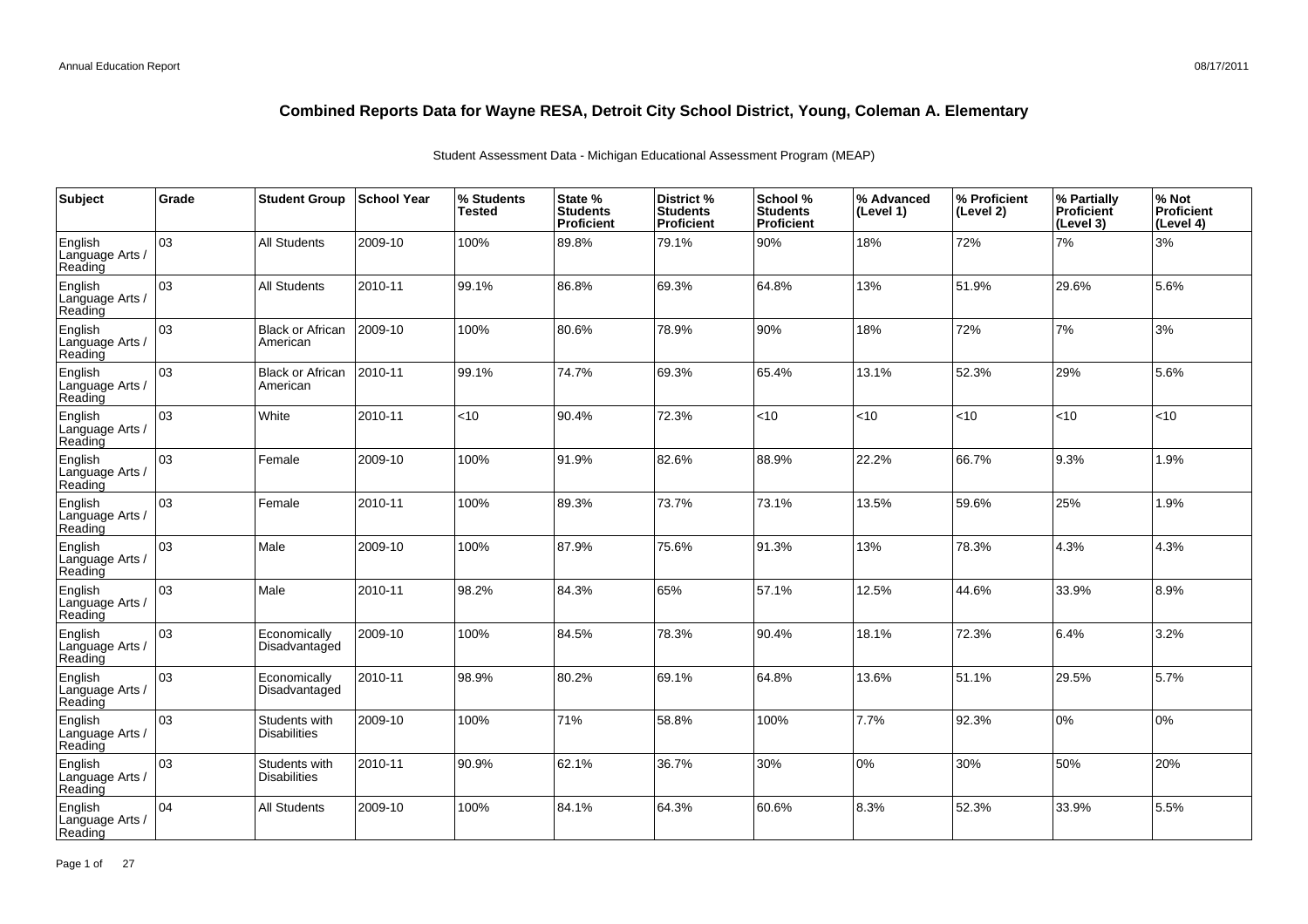| Subject                               | Grade | <b>Student Group</b>                 | School Year | % Students<br><b>Tested</b> | State %<br><b>Students</b><br>Proficient | District %<br><b>Students</b><br><b>Proficient</b> | School %<br><b>Students</b><br><b>Proficient</b> | % Advanced<br>(Level 1) | % Proficient<br>(Level 2) | % Partially<br>Proficient<br>(Level 3) | % Not<br>Proficient<br>(Level 4) |
|---------------------------------------|-------|--------------------------------------|-------------|-----------------------------|------------------------------------------|----------------------------------------------------|--------------------------------------------------|-------------------------|---------------------------|----------------------------------------|----------------------------------|
| English<br>Language Arts /<br>Reading | 03    | <b>All Students</b>                  | 2009-10     | 100%                        | 89.8%                                    | 79.1%                                              | 90%                                              | 18%                     | 72%                       | 7%                                     | 3%                               |
| English<br>Language Arts /<br>Reading | 03    | <b>All Students</b>                  | 2010-11     | 99.1%                       | 86.8%                                    | 69.3%                                              | 64.8%                                            | 13%                     | 51.9%                     | 29.6%                                  | 5.6%                             |
| English<br>Language Arts /<br>Reading | 03    | <b>Black or African</b><br>American  | 2009-10     | 100%                        | 80.6%                                    | 78.9%                                              | 90%                                              | 18%                     | 72%                       | 7%                                     | 3%                               |
| English<br>Language Arts /<br>Reading | 03    | <b>Black or African</b><br>American  | 2010-11     | 99.1%                       | 74.7%                                    | 69.3%                                              | 65.4%                                            | 13.1%                   | 52.3%                     | 29%                                    | 5.6%                             |
| English<br>Language Arts /<br>Reading | 03    | White                                | 2010-11     | <10                         | 90.4%                                    | 72.3%                                              | < 10                                             | <10                     | $10^{-1}$                 | < 10                                   | <10                              |
| English<br>Language Arts /<br>Reading | 03    | Female                               | 2009-10     | 100%                        | 91.9%                                    | 82.6%                                              | 88.9%                                            | 22.2%                   | 66.7%                     | 9.3%                                   | 1.9%                             |
| English<br>Language Arts /<br>Reading | 03    | Female                               | 2010-11     | 100%                        | 89.3%                                    | 73.7%                                              | 73.1%                                            | 13.5%                   | 59.6%                     | 25%                                    | 1.9%                             |
| English<br>Language Arts<br>Reading   | 03    | Male                                 | 2009-10     | 100%                        | 87.9%                                    | 75.6%                                              | 91.3%                                            | 13%                     | 78.3%                     | 4.3%                                   | 4.3%                             |
| English<br>Language Arts /<br>Reading | 03    | Male                                 | 2010-11     | 98.2%                       | 84.3%                                    | 65%                                                | 57.1%                                            | 12.5%                   | 44.6%                     | 33.9%                                  | 8.9%                             |
| English<br>Language Arts<br>Reading   | 03    | Economically<br>Disadvantaged        | 2009-10     | 100%                        | 84.5%                                    | 78.3%                                              | 90.4%                                            | 18.1%                   | 72.3%                     | 6.4%                                   | 3.2%                             |
| English<br>Language Arts<br>Reading   | 03    | Economically<br>Disadvantaged        | 2010-11     | 98.9%                       | 80.2%                                    | 69.1%                                              | 64.8%                                            | 13.6%                   | 51.1%                     | 29.5%                                  | 5.7%                             |
| English<br>Language Arts<br>Reading   | 03    | Students with<br><b>Disabilities</b> | 2009-10     | 100%                        | 71%                                      | 58.8%                                              | 100%                                             | 7.7%                    | 92.3%                     | 0%                                     | 0%                               |
| English<br>Language Arts<br>Reading   | 03    | Students with<br><b>Disabilities</b> | 2010-11     | 90.9%                       | 62.1%                                    | 36.7%                                              | 30%                                              | 0%                      | 30%                       | 50%                                    | 20%                              |
| English<br>Language Arts<br>Reading   | 04    | <b>All Students</b>                  | 2009-10     | 100%                        | 84.1%                                    | 64.3%                                              | 60.6%                                            | 8.3%                    | 52.3%                     | 33.9%                                  | 5.5%                             |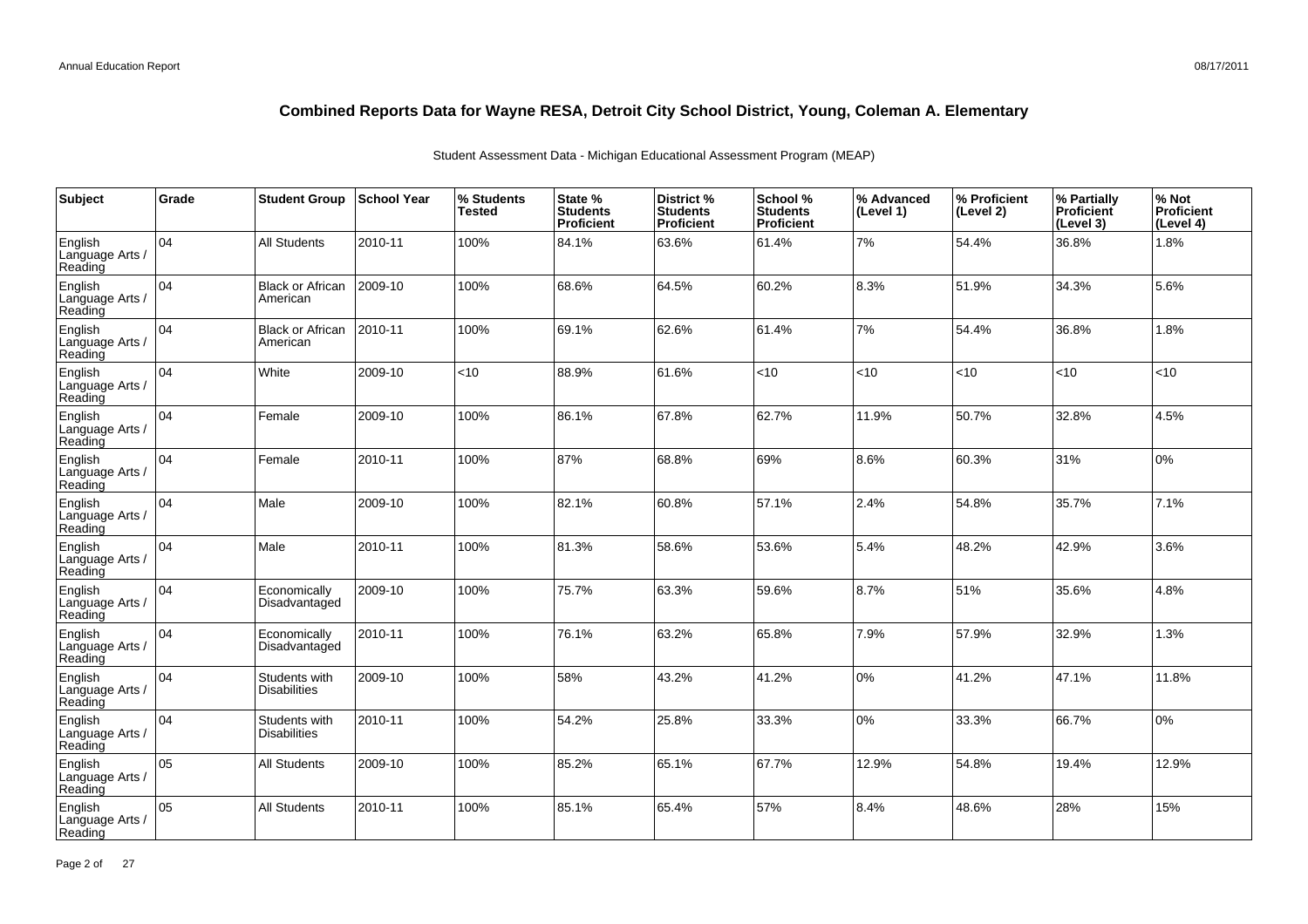| Subject                               | Grade | <b>Student Group</b>                 | <b>School Year</b> | % Students<br><b>Tested</b> | State %<br><b>Students</b><br>Proficient | District %<br><b>Students</b><br>Proficient | School %<br><b>Students</b><br><b>Proficient</b> | % Advanced<br>(Level 1) | │% Proficient<br>(Level 2) | % Partially<br>Proficient<br>(Level 3) | % Not<br>Proficient<br>(Level 4) |
|---------------------------------------|-------|--------------------------------------|--------------------|-----------------------------|------------------------------------------|---------------------------------------------|--------------------------------------------------|-------------------------|----------------------------|----------------------------------------|----------------------------------|
| English<br>Language Arts /<br>Reading | 04    | <b>All Students</b>                  | 2010-11            | 100%                        | 84.1%                                    | 63.6%                                       | 61.4%                                            | 7%                      | 54.4%                      | 36.8%                                  | 1.8%                             |
| English<br>Language Arts /<br>Reading | 104   | <b>Black or African</b><br>American  | 2009-10            | 100%                        | 68.6%                                    | 64.5%                                       | 60.2%                                            | 8.3%                    | 51.9%                      | 34.3%                                  | 5.6%                             |
| English<br>Language Arts /<br>Reading | 104   | <b>Black or African</b><br>American  | 2010-11            | 100%                        | 69.1%                                    | 62.6%                                       | 61.4%                                            | 7%                      | 54.4%                      | 36.8%                                  | 1.8%                             |
| English<br>Language Arts /<br>Reading | 104   | White                                | 2009-10            | <10                         | 88.9%                                    | 61.6%                                       | <10                                              | <10                     | < 10                       | < 10                                   | <10                              |
| English<br>Language Arts /<br>Reading | 104   | Female                               | 2009-10            | 100%                        | 86.1%                                    | 67.8%                                       | 62.7%                                            | 11.9%                   | 50.7%                      | 32.8%                                  | 4.5%                             |
| English<br>Language Arts /<br>Reading | 104   | Female                               | 2010-11            | 100%                        | 87%                                      | 68.8%                                       | 69%                                              | 8.6%                    | 60.3%                      | 31%                                    | 0%                               |
| English<br>Language Arts /<br>Reading | 04    | Male                                 | 2009-10            | 100%                        | 82.1%                                    | 60.8%                                       | 57.1%                                            | 2.4%                    | 54.8%                      | 35.7%                                  | 7.1%                             |
| English<br>Language Arts /<br>Reading | 04    | Male                                 | 2010-11            | 100%                        | 81.3%                                    | 58.6%                                       | 53.6%                                            | 5.4%                    | 48.2%                      | 42.9%                                  | 3.6%                             |
| English<br>Language Arts /<br>Reading | 104   | Economically<br>Disadvantaged        | 2009-10            | 100%                        | 75.7%                                    | 63.3%                                       | 59.6%                                            | 8.7%                    | 51%                        | 35.6%                                  | 4.8%                             |
| English<br>Language Arts /<br>Reading | 04    | Economically<br>Disadvantaged        | 2010-11            | 100%                        | 76.1%                                    | 63.2%                                       | 65.8%                                            | 7.9%                    | 57.9%                      | 32.9%                                  | 1.3%                             |
| English<br>Language Arts /<br>Reading | 104   | Students with<br><b>Disabilities</b> | 2009-10            | 100%                        | 58%                                      | 43.2%                                       | 41.2%                                            | 0%                      | 41.2%                      | 47.1%                                  | 11.8%                            |
| English<br>Language Arts /<br>Reading | 04    | Students with<br><b>Disabilities</b> | 2010-11            | 100%                        | 54.2%                                    | 25.8%                                       | 33.3%                                            | 0%                      | 33.3%                      | 66.7%                                  | 0%                               |
| English<br>Language Arts /<br>Reading | 05    | <b>All Students</b>                  | 2009-10            | 100%                        | 85.2%                                    | 65.1%                                       | 67.7%                                            | 12.9%                   | 54.8%                      | 19.4%                                  | 12.9%                            |
| English<br>Language Arts<br>Reading   | 05    | <b>All Students</b>                  | 2010-11            | 100%                        | 85.1%                                    | 65.4%                                       | 57%                                              | 8.4%                    | 48.6%                      | 28%                                    | 15%                              |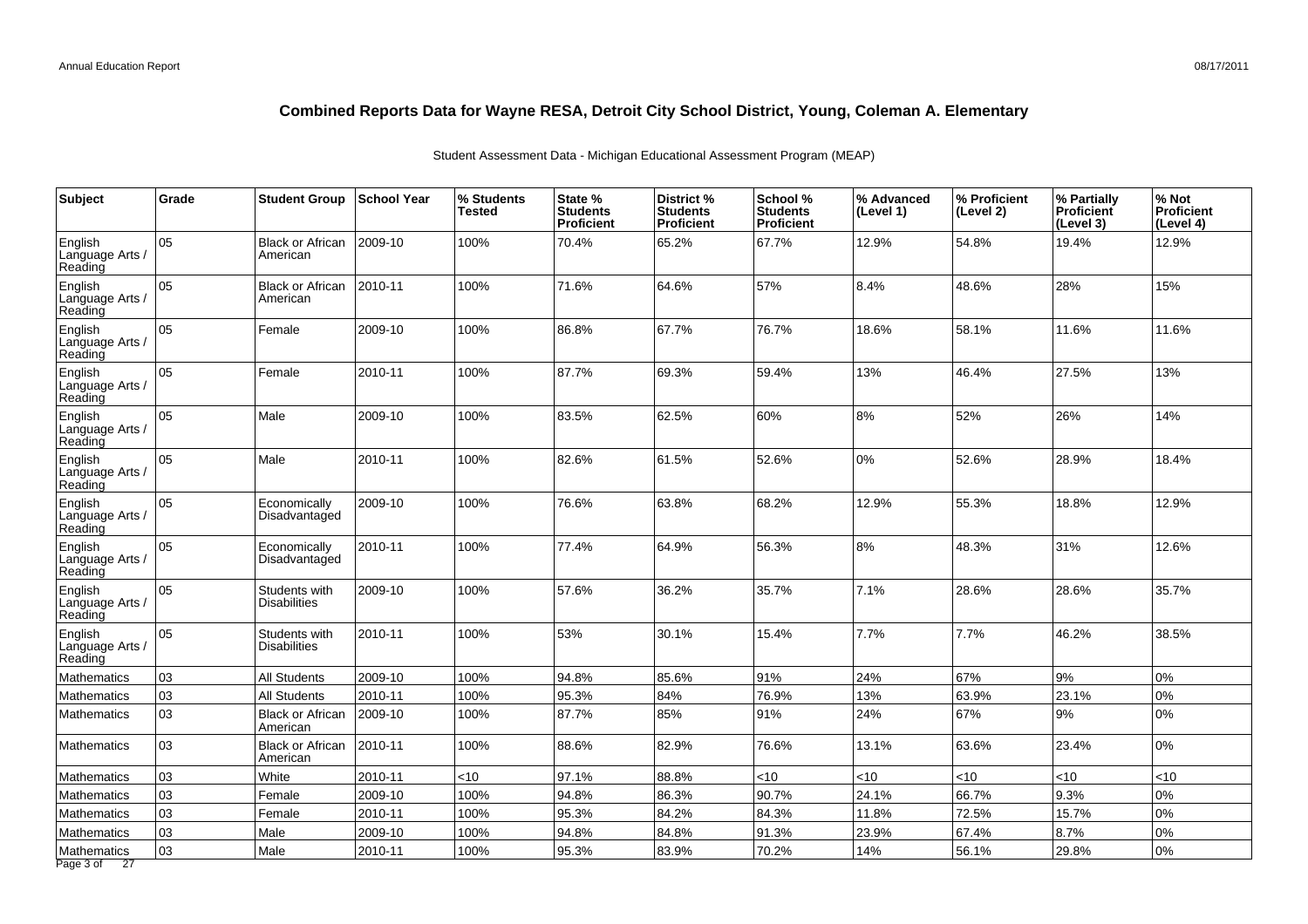| Subject                               | Grade | <b>Student Group</b>                 | School Year | % Students<br><b>Tested</b> | State %<br><b>Students</b><br>Proficient | District %<br><b>Students</b><br>Proficient | School %<br><b>Students</b><br><b>Proficient</b> | % Advanced<br>(Level 1) | % Proficient<br>(Level 2) | % Partially<br>Proficient<br>(Level 3) | % Not<br><b>Proficient</b><br>(Level 4) |
|---------------------------------------|-------|--------------------------------------|-------------|-----------------------------|------------------------------------------|---------------------------------------------|--------------------------------------------------|-------------------------|---------------------------|----------------------------------------|-----------------------------------------|
| English<br>Language Arts<br>Reading   | 05    | <b>Black or African</b><br>American  | 2009-10     | 100%                        | 70.4%                                    | 65.2%                                       | 67.7%                                            | 12.9%                   | 54.8%                     | 19.4%                                  | 12.9%                                   |
| English<br>Language Arts<br>Reading   | 05    | <b>Black or African</b><br>American  | 2010-11     | 100%                        | 71.6%                                    | 64.6%                                       | 57%                                              | 8.4%                    | 48.6%                     | 28%                                    | 15%                                     |
| English<br>Language Arts /<br>Reading | 05    | Female                               | 2009-10     | 100%                        | 86.8%                                    | 67.7%                                       | 76.7%                                            | 18.6%                   | 58.1%                     | 11.6%                                  | 11.6%                                   |
| English<br>Language Arts /<br>Reading | 05    | Female                               | 2010-11     | 100%                        | 87.7%                                    | 69.3%                                       | 59.4%                                            | 13%                     | 46.4%                     | 27.5%                                  | 13%                                     |
| English<br>Language Arts /<br>Reading | 05    | Male                                 | 2009-10     | 100%                        | 83.5%                                    | 62.5%                                       | 60%                                              | 8%                      | 52%                       | 26%                                    | 14%                                     |
| English<br>Language Arts<br>Reading   | 05    | Male                                 | 2010-11     | 100%                        | 82.6%                                    | 61.5%                                       | 52.6%                                            | 0%                      | 52.6%                     | 28.9%                                  | 18.4%                                   |
| English<br>Language Arts<br>Reading   | 05    | Economically<br>Disadvantaged        | 2009-10     | 100%                        | 76.6%                                    | 63.8%                                       | 68.2%                                            | 12.9%                   | 55.3%                     | 18.8%                                  | 12.9%                                   |
| English<br>Language Arts /<br>Reading | 05    | Economically<br>Disadvantaged        | 2010-11     | 100%                        | 77.4%                                    | 64.9%                                       | 56.3%                                            | 8%                      | 48.3%                     | 31%                                    | 12.6%                                   |
| English<br>Language Arts<br>Reading   | 05    | Students with<br><b>Disabilities</b> | 2009-10     | 100%                        | 57.6%                                    | 36.2%                                       | 35.7%                                            | 7.1%                    | 28.6%                     | 28.6%                                  | 35.7%                                   |
| English<br>Language Arts<br>Reading   | 05    | Students with<br><b>Disabilities</b> | 2010-11     | 100%                        | 53%                                      | 30.1%                                       | 15.4%                                            | 7.7%                    | 7.7%                      | 46.2%                                  | 38.5%                                   |
| Mathematics                           | 03    | All Students                         | 2009-10     | 100%                        | 94.8%                                    | 85.6%                                       | 91%                                              | 24%                     | 67%                       | 9%                                     | 0%                                      |
| Mathematics                           | 03    | All Students                         | 2010-11     | 100%                        | 95.3%                                    | 84%                                         | 76.9%                                            | 13%                     | 63.9%                     | 23.1%                                  | 0%                                      |
| <b>Mathematics</b>                    | 03    | <b>Black or African</b><br>American  | 2009-10     | 100%                        | 87.7%                                    | 85%                                         | 91%                                              | 24%                     | 67%                       | 9%                                     | 0%                                      |
| Mathematics                           | 03    | <b>Black or African</b><br>American  | 2010-11     | 100%                        | 88.6%                                    | 82.9%                                       | 76.6%                                            | 13.1%                   | 63.6%                     | 23.4%                                  | 0%                                      |
| Mathematics                           | 03    | White                                | 2010-11     | <10                         | 97.1%                                    | 88.8%                                       | <10                                              | <10                     | < 10                      | ~10                                    | <10                                     |
| <b>Mathematics</b>                    | 03    | Female                               | 2009-10     | 100%                        | 94.8%                                    | 86.3%                                       | 90.7%                                            | 24.1%                   | 66.7%                     | 9.3%                                   | 0%                                      |
| <b>Mathematics</b>                    | 03    | Female                               | 2010-11     | 100%                        | 95.3%                                    | 84.2%                                       | 84.3%                                            | 11.8%                   | 72.5%                     | 15.7%                                  | 0%                                      |
| <b>Mathematics</b>                    | 03    | Male                                 | 2009-10     | 100%                        | 94.8%                                    | 84.8%                                       | 91.3%                                            | 23.9%                   | 67.4%                     | 8.7%                                   | 0%                                      |
| Mathematics<br>Page 3 of 27           | 03    | Male                                 | 2010-11     | 100%                        | 95.3%                                    | 83.9%                                       | 70.2%                                            | 14%                     | 56.1%                     | 29.8%                                  | 0%                                      |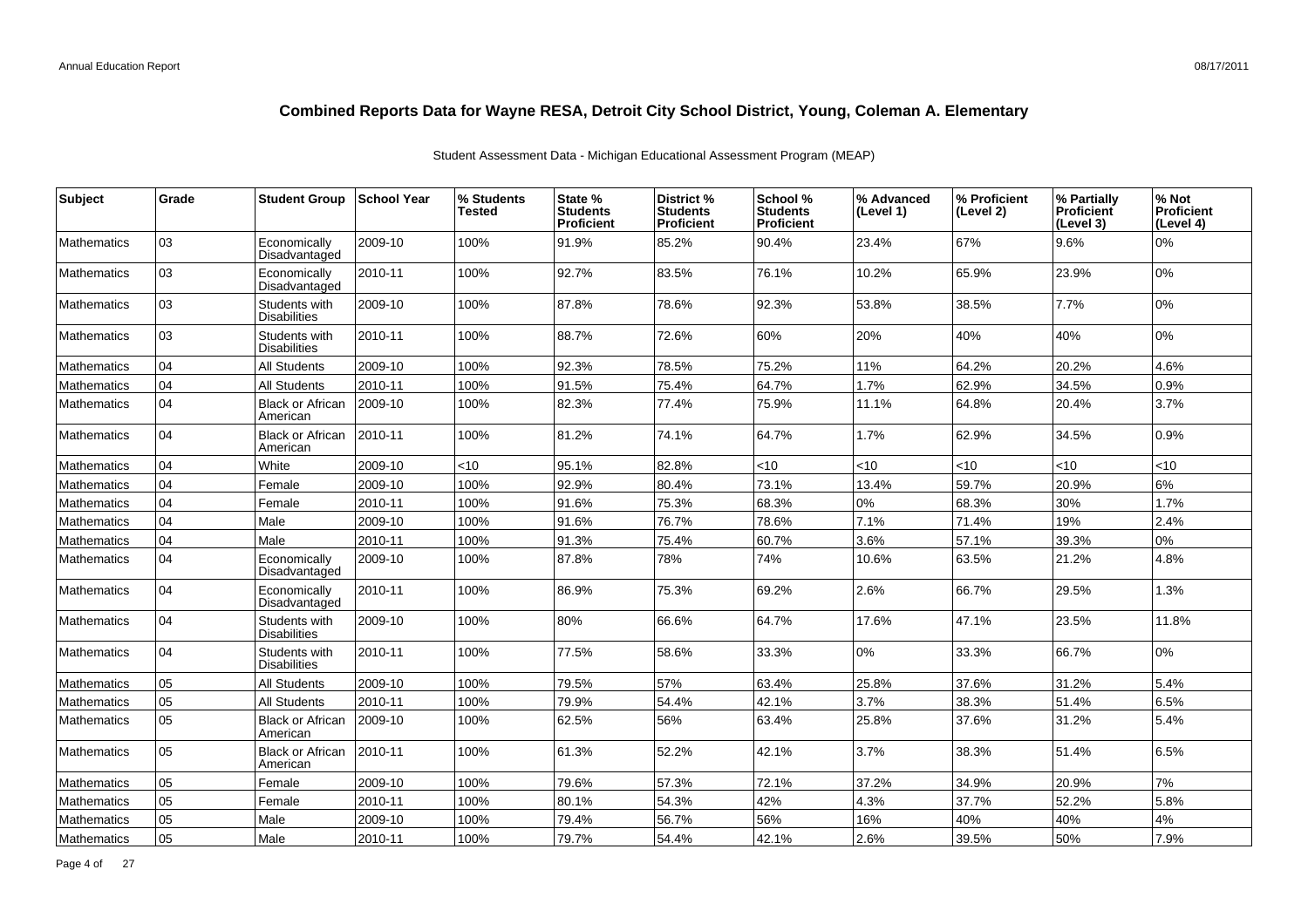| <b>Subject</b>     | Grade | <b>Student Group</b>                 | <b>School Year</b> | % Students<br>Tested | State %<br><b>Students</b><br><b>Proficient</b> | District %<br><b>Students</b><br><b>Proficient</b> | School %<br><b>Students</b><br>Proficient | % Advanced<br>(Level 1) | % Proficient<br>(Level 2) | % Partially<br><b>Proficient</b><br>(Level 3) | % Not<br><b>Proficient</b><br>(Level 4) |
|--------------------|-------|--------------------------------------|--------------------|----------------------|-------------------------------------------------|----------------------------------------------------|-------------------------------------------|-------------------------|---------------------------|-----------------------------------------------|-----------------------------------------|
| <b>Mathematics</b> | 03    | Economically<br>Disadvantaged        | 2009-10            | 100%                 | 91.9%                                           | 85.2%                                              | 90.4%                                     | 23.4%                   | 67%                       | 9.6%                                          | 0%                                      |
| <b>Mathematics</b> | 03    | Economically<br>Disadvantaged        | 2010-11            | 100%                 | 92.7%                                           | 83.5%                                              | 76.1%                                     | 10.2%                   | 65.9%                     | 23.9%                                         | 0%                                      |
| <b>Mathematics</b> | 03    | Students with<br><b>Disabilities</b> | 2009-10            | 100%                 | 87.8%                                           | 78.6%                                              | 92.3%                                     | 53.8%                   | 38.5%                     | 7.7%                                          | 0%                                      |
| <b>Mathematics</b> | 03    | Students with<br><b>Disabilities</b> | 2010-11            | 100%                 | 88.7%                                           | 72.6%                                              | 60%                                       | 20%                     | 40%                       | 40%                                           | 0%                                      |
| <b>Mathematics</b> | 04    | <b>All Students</b>                  | 2009-10            | 100%                 | 92.3%                                           | 78.5%                                              | 75.2%                                     | 11%                     | 64.2%                     | 20.2%                                         | 4.6%                                    |
| <b>Mathematics</b> | 04    | All Students                         | 2010-11            | 100%                 | 91.5%                                           | 75.4%                                              | 64.7%                                     | 1.7%                    | 62.9%                     | 34.5%                                         | 0.9%                                    |
| <b>Mathematics</b> | 04    | <b>Black or African</b><br>American  | 2009-10            | 100%                 | 82.3%                                           | 77.4%                                              | 75.9%                                     | 11.1%                   | 64.8%                     | 20.4%                                         | 3.7%                                    |
| <b>Mathematics</b> | 04    | <b>Black or African</b><br>American  | 2010-11            | 100%                 | 81.2%                                           | 74.1%                                              | 64.7%                                     | 1.7%                    | 62.9%                     | 34.5%                                         | 0.9%                                    |
| <b>Mathematics</b> | 04    | White                                | 2009-10            | < 10                 | 95.1%                                           | 82.8%                                              | < 10                                      | <10                     | <10                       | <10                                           | $<$ 10                                  |
| <b>Mathematics</b> | 04    | Female                               | 2009-10            | 100%                 | 92.9%                                           | 80.4%                                              | 73.1%                                     | 13.4%                   | 59.7%                     | 20.9%                                         | 6%                                      |
| Mathematics        | 04    | Female                               | 2010-11            | 100%                 | 91.6%                                           | 75.3%                                              | 68.3%                                     | 0%                      | 68.3%                     | 30%                                           | 1.7%                                    |
| Mathematics        | 04    | Male                                 | 2009-10            | 100%                 | 91.6%                                           | 76.7%                                              | 78.6%                                     | 7.1%                    | 71.4%                     | 19%                                           | 2.4%                                    |
| <b>Mathematics</b> | 04    | Male                                 | 2010-11            | 100%                 | 91.3%                                           | 75.4%                                              | 60.7%                                     | 3.6%                    | 57.1%                     | 39.3%                                         | 0%                                      |
| <b>Mathematics</b> | 04    | Economically<br>Disadvantaged        | 2009-10            | 100%                 | 87.8%                                           | 78%                                                | 74%                                       | 10.6%                   | 63.5%                     | 21.2%                                         | 4.8%                                    |
| <b>Mathematics</b> | 04    | Economically<br>Disadvantaged        | 2010-11            | 100%                 | 86.9%                                           | 75.3%                                              | 69.2%                                     | 2.6%                    | 66.7%                     | 29.5%                                         | 1.3%                                    |
| <b>Mathematics</b> | 04    | Students with<br><b>Disabilities</b> | 2009-10            | 100%                 | 80%                                             | 66.6%                                              | 64.7%                                     | 17.6%                   | 47.1%                     | 23.5%                                         | 11.8%                                   |
| <b>Mathematics</b> | 04    | Students with<br><b>Disabilities</b> | 2010-11            | 100%                 | 77.5%                                           | 58.6%                                              | 33.3%                                     | 0%                      | 33.3%                     | 66.7%                                         | 0%                                      |
| <b>Mathematics</b> | 05    | <b>All Students</b>                  | 2009-10            | 100%                 | 79.5%                                           | 57%                                                | 63.4%                                     | 25.8%                   | 37.6%                     | 31.2%                                         | 5.4%                                    |
| <b>Mathematics</b> | 05    | <b>All Students</b>                  | 2010-11            | 100%                 | 79.9%                                           | 54.4%                                              | 42.1%                                     | 3.7%                    | 38.3%                     | 51.4%                                         | 6.5%                                    |
| <b>Mathematics</b> | 05    | <b>Black or African</b><br>American  | 2009-10            | 100%                 | 62.5%                                           | 56%                                                | 63.4%                                     | 25.8%                   | 37.6%                     | 31.2%                                         | 5.4%                                    |
| <b>Mathematics</b> | 05    | <b>Black or African</b><br>American  | 2010-11            | 100%                 | 61.3%                                           | 52.2%                                              | 42.1%                                     | 3.7%                    | 38.3%                     | 51.4%                                         | 6.5%                                    |
| <b>Mathematics</b> | 05    | Female                               | 2009-10            | 100%                 | 79.6%                                           | 57.3%                                              | 72.1%                                     | 37.2%                   | 34.9%                     | 20.9%                                         | 7%                                      |
| <b>Mathematics</b> | 05    | Female                               | 2010-11            | 100%                 | 80.1%                                           | 54.3%                                              | 42%                                       | 4.3%                    | 37.7%                     | 52.2%                                         | 5.8%                                    |
| Mathematics        | 05    | Male                                 | 2009-10            | 100%                 | 79.4%                                           | 56.7%                                              | 56%                                       | 16%                     | 40%                       | 40%                                           | $4\%$                                   |
| Mathematics        | 05    | Male                                 | 2010-11            | 100%                 | 79.7%                                           | 54.4%                                              | 42.1%                                     | 2.6%                    | 39.5%                     | 50%                                           | 7.9%                                    |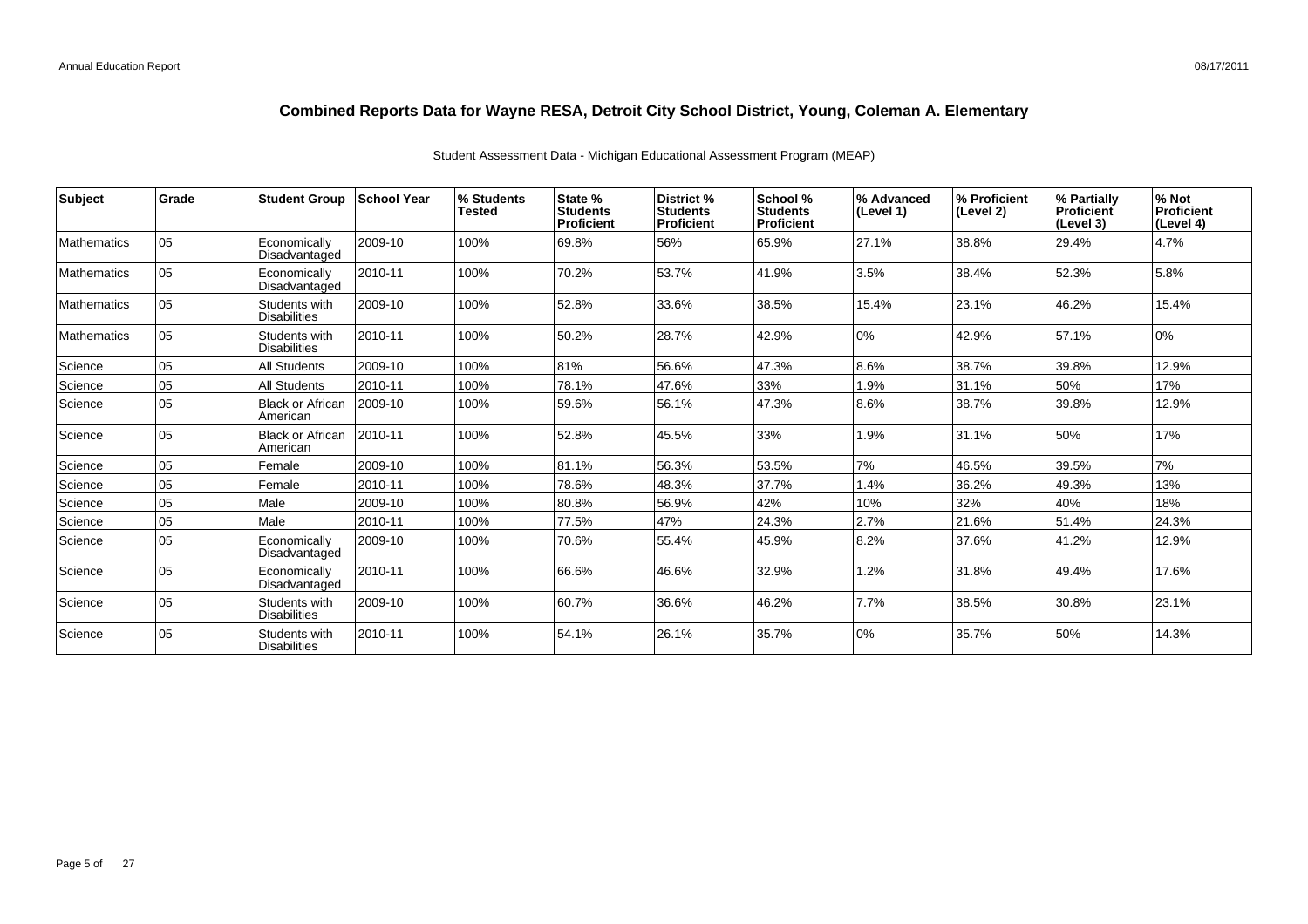| <b>Subject</b>     | Grade | <b>Student Group</b>                 | <b>School Year</b> | % Students<br>Tested | State %<br><b>Students</b><br>Proficient | District %<br>Students<br>Proficient | School %<br>Students<br>Proficient | % Advanced<br>(Level 1) | % Proficient<br>(Level 2) | % Partially<br>Proficient<br>(Level 3) | % Not<br>Proficient<br>(Level 4) |
|--------------------|-------|--------------------------------------|--------------------|----------------------|------------------------------------------|--------------------------------------|------------------------------------|-------------------------|---------------------------|----------------------------------------|----------------------------------|
| <b>Mathematics</b> | 05    | Economically<br>Disadvantaged        | 2009-10            | 100%                 | 69.8%                                    | 56%                                  | 65.9%                              | 27.1%                   | 38.8%                     | 29.4%                                  | 4.7%                             |
| <b>Mathematics</b> | 05    | Economically<br>Disadvantaged        | 2010-11            | 100%                 | 70.2%                                    | 53.7%                                | 41.9%                              | 3.5%                    | 38.4%                     | 52.3%                                  | 5.8%                             |
| <b>Mathematics</b> | 05    | Students with<br><b>Disabilities</b> | 2009-10            | 100%                 | 52.8%                                    | 33.6%                                | 38.5%                              | 15.4%                   | 23.1%                     | 46.2%                                  | 15.4%                            |
| <b>Mathematics</b> | 05    | Students with<br><b>Disabilities</b> | 2010-11            | 100%                 | 50.2%                                    | 28.7%                                | 42.9%                              | 0%                      | 42.9%                     | 57.1%                                  | 0%                               |
| Science            | 05    | <b>All Students</b>                  | 2009-10            | 100%                 | 81%                                      | 56.6%                                | 47.3%                              | 8.6%                    | 38.7%                     | 39.8%                                  | 12.9%                            |
| Science            | 05    | <b>All Students</b>                  | 2010-11            | 100%                 | 78.1%                                    | 47.6%                                | 33%                                | 1.9%                    | 31.1%                     | 50%                                    | 17%                              |
| Science            | 05    | <b>Black or African</b><br>American  | 2009-10            | 100%                 | 59.6%                                    | 56.1%                                | 47.3%                              | 8.6%                    | 38.7%                     | 39.8%                                  | 12.9%                            |
| Science            | 05    | <b>Black or African</b><br>American  | 2010-11            | 100%                 | 52.8%                                    | 45.5%                                | 33%                                | 1.9%                    | 31.1%                     | 50%                                    | 17%                              |
| Science            | 05    | Female                               | 2009-10            | 100%                 | 81.1%                                    | 56.3%                                | 53.5%                              | 7%                      | 46.5%                     | 39.5%                                  | 7%                               |
| Science            | 05    | Female                               | 2010-11            | 100%                 | 78.6%                                    | 48.3%                                | 37.7%                              | 1.4%                    | 36.2%                     | 49.3%                                  | 13%                              |
| Science            | 05    | Male                                 | 2009-10            | 100%                 | 80.8%                                    | 56.9%                                | 42%                                | 10%                     | 32%                       | 40%                                    | 18%                              |
| Science            | 05    | Male                                 | 2010-11            | 100%                 | 77.5%                                    | 47%                                  | 24.3%                              | 2.7%                    | 21.6%                     | 51.4%                                  | 24.3%                            |
| Science            | 05    | Economically<br>Disadvantaged        | 2009-10            | 100%                 | 70.6%                                    | 55.4%                                | 45.9%                              | 8.2%                    | 37.6%                     | 41.2%                                  | 12.9%                            |
| Science            | 05    | Economically<br>Disadvantaged        | 2010-11            | 100%                 | 66.6%                                    | 46.6%                                | 32.9%                              | 1.2%                    | 31.8%                     | 49.4%                                  | 17.6%                            |
| Science            | 05    | Students with<br><b>Disabilities</b> | 2009-10            | 100%                 | 60.7%                                    | 36.6%                                | 46.2%                              | 7.7%                    | 38.5%                     | 30.8%                                  | 23.1%                            |
| Science            | 05    | Students with<br><b>Disabilities</b> | 2010-11            | 100%                 | 54.1%                                    | 26.1%                                | 35.7%                              | 0%                      | 35.7%                     | 50%                                    | 14.3%                            |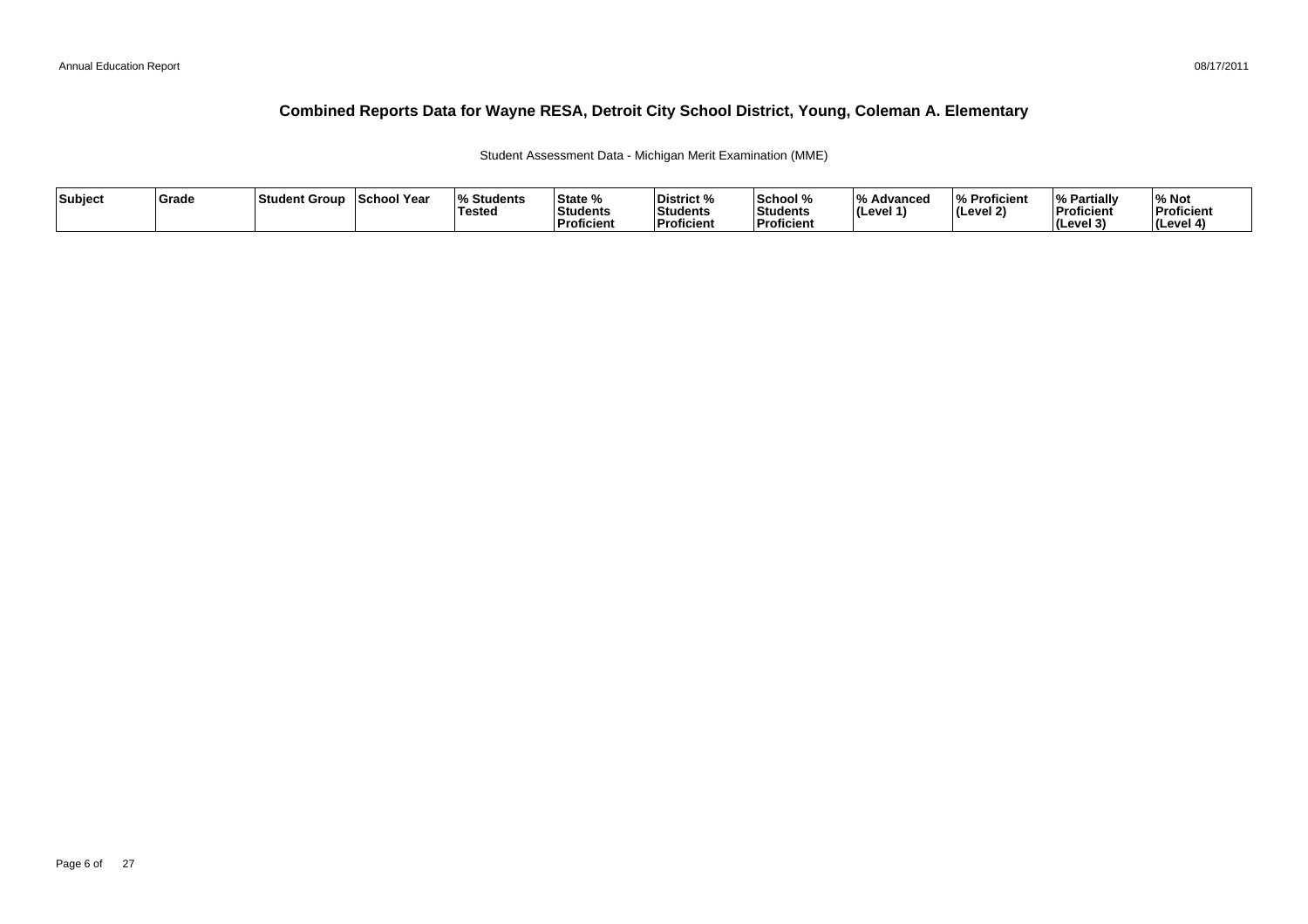Student Assessment Data - Michigan Merit Examination (MME)

| Subject | Grade | ∣Student Group | <b>School Year</b> | <b>Students</b><br>Tested | State %<br>Students<br>Proficient | <b>District %</b><br>Students<br>Proficient | School %<br>Students<br>Proficient | 1 O /<br>% Advanced<br><b>I</b> (Level 1) | % Proficient<br>∣(Level 2) | <b>% Partial</b><br>Proficient<br>. .<br>∣(Level ? | % Not<br>Proficient<br>(Level 4) |
|---------|-------|----------------|--------------------|---------------------------|-----------------------------------|---------------------------------------------|------------------------------------|-------------------------------------------|----------------------------|----------------------------------------------------|----------------------------------|
|---------|-------|----------------|--------------------|---------------------------|-----------------------------------|---------------------------------------------|------------------------------------|-------------------------------------------|----------------------------|----------------------------------------------------|----------------------------------|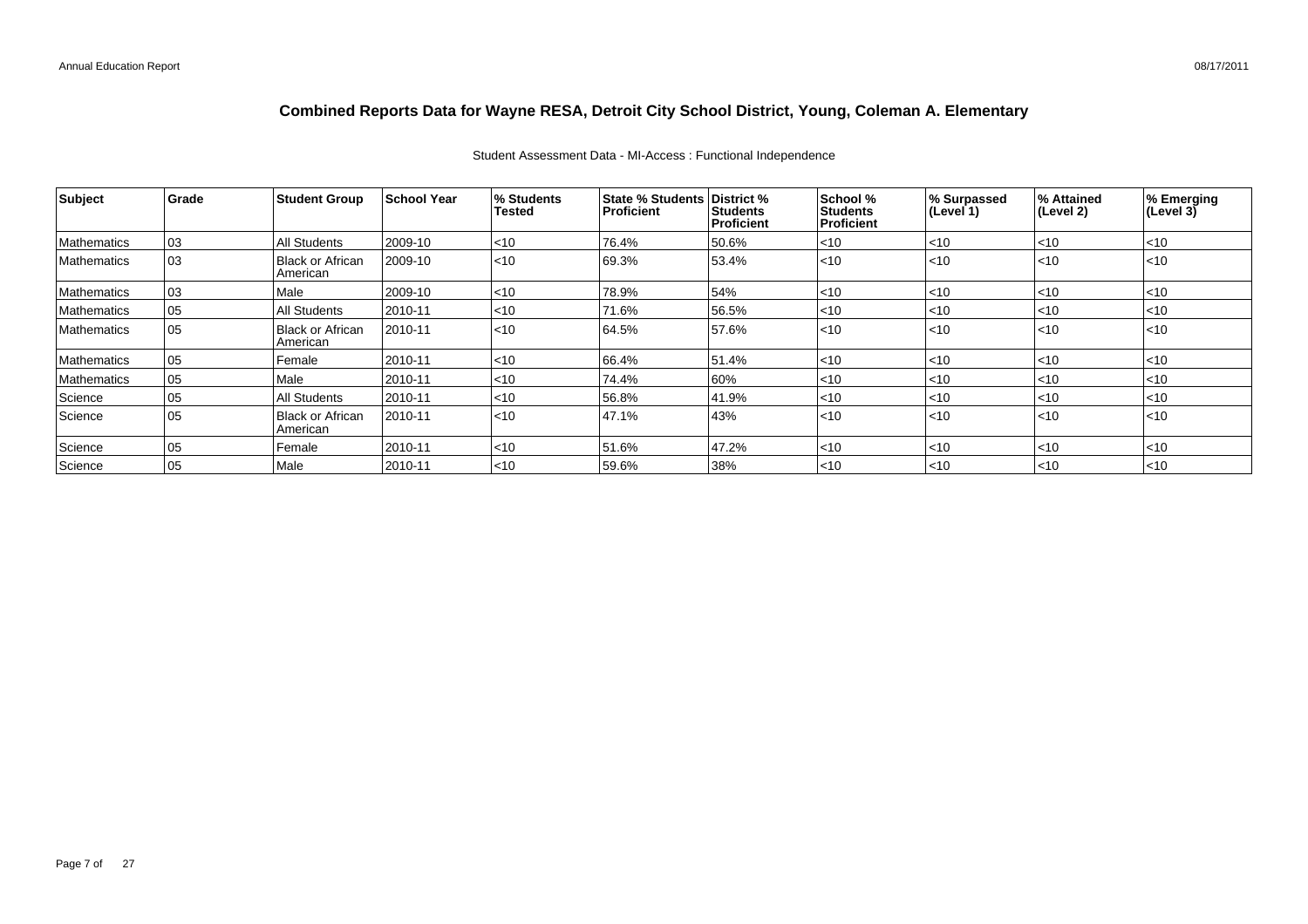| Student Assessment Data - MI-Access : Functional Independence |  |  |
|---------------------------------------------------------------|--|--|
|                                                               |  |  |

| Subject            | Grade | <b>Student Group</b>                | <b>School Year</b> | % Students<br>Tested | <b>State % Students District %</b><br><b>Proficient</b> | <b>Students</b><br>Proficient | School %<br><b>Students</b><br><b>Proficient</b> | % Surpassed<br>$ $ (Level 1) | % Attained<br>(Level 2) | % Emerging<br>(Level 3) |
|--------------------|-------|-------------------------------------|--------------------|----------------------|---------------------------------------------------------|-------------------------------|--------------------------------------------------|------------------------------|-------------------------|-------------------------|
| Mathematics        | 03    | <b>All Students</b>                 | 2009-10            | $<$ 10               | 76.4%                                                   | 50.6%                         | $<$ 10                                           | $ $ < 10                     | < 10                    | $<$ 10                  |
| <b>Mathematics</b> | 03    | <b>Black or African</b><br>American | 2009-10            | < 10                 | 69.3%                                                   | 53.4%                         | < 10                                             | $\leq 10$                    | $ $ < 10                | < 10                    |
| Mathematics        | 03    | Male                                | 2009-10            | $<$ 10               | 78.9%                                                   | 54%                           | $<$ 10                                           | $\leq 10$                    | $<$ 10                  | < 10                    |
| Mathematics        | 05    | All Students                        | 2010-11            | $ $ < 10             | 71.6%                                                   | 56.5%                         | $<$ 10                                           | $\mathsf{I}$ <10             | $ $ < 10                | $<$ 10                  |
| <b>Mathematics</b> | 05    | <b>Black or African</b><br>American | 2010-11            | $<$ 10               | 64.5%                                                   | 57.6%                         | < 10                                             | $\leq 10$                    | < 10                    | < 10                    |
| Mathematics        | 05    | Female                              | 2010-11            | $<$ 10               | 66.4%                                                   | 51.4%                         | $<$ 10                                           | $\leq 10$                    | $<$ 10                  | < 10                    |
| Mathematics        | 05    | Male                                | 2010-11            | ~10                  | 74.4%                                                   | 60%                           | $<$ 10                                           | $ $ < 10                     | $<$ 10                  | $<$ 10                  |
| Science            | 05    | All Students                        | 2010-11            | $<$ 10               | 56.8%                                                   | 41.9%                         | $<$ 10                                           | $\leq 10$                    | $ $ < 10                | $<$ 10                  |
| Science            | 05    | Black or African<br>American        | 2010-11            | $<$ 10               | 47.1%                                                   | 43%                           | $<$ 10                                           | $\leq 10$                    | $ $ < 10                | < 10                    |
| Science            | 05    | Female                              | 2010-11            | $<$ 10               | 51.6%                                                   | 47.2%                         | $<$ 10                                           | $ $ < 10                     | $<$ 10                  | < 10                    |
| Science            | 05    | Male                                | 2010-11            | $<$ 10               | 59.6%                                                   | 38%                           | $<$ 10                                           | $\mathsf{I}$ <10             | $ $ < 10                | $<$ 10                  |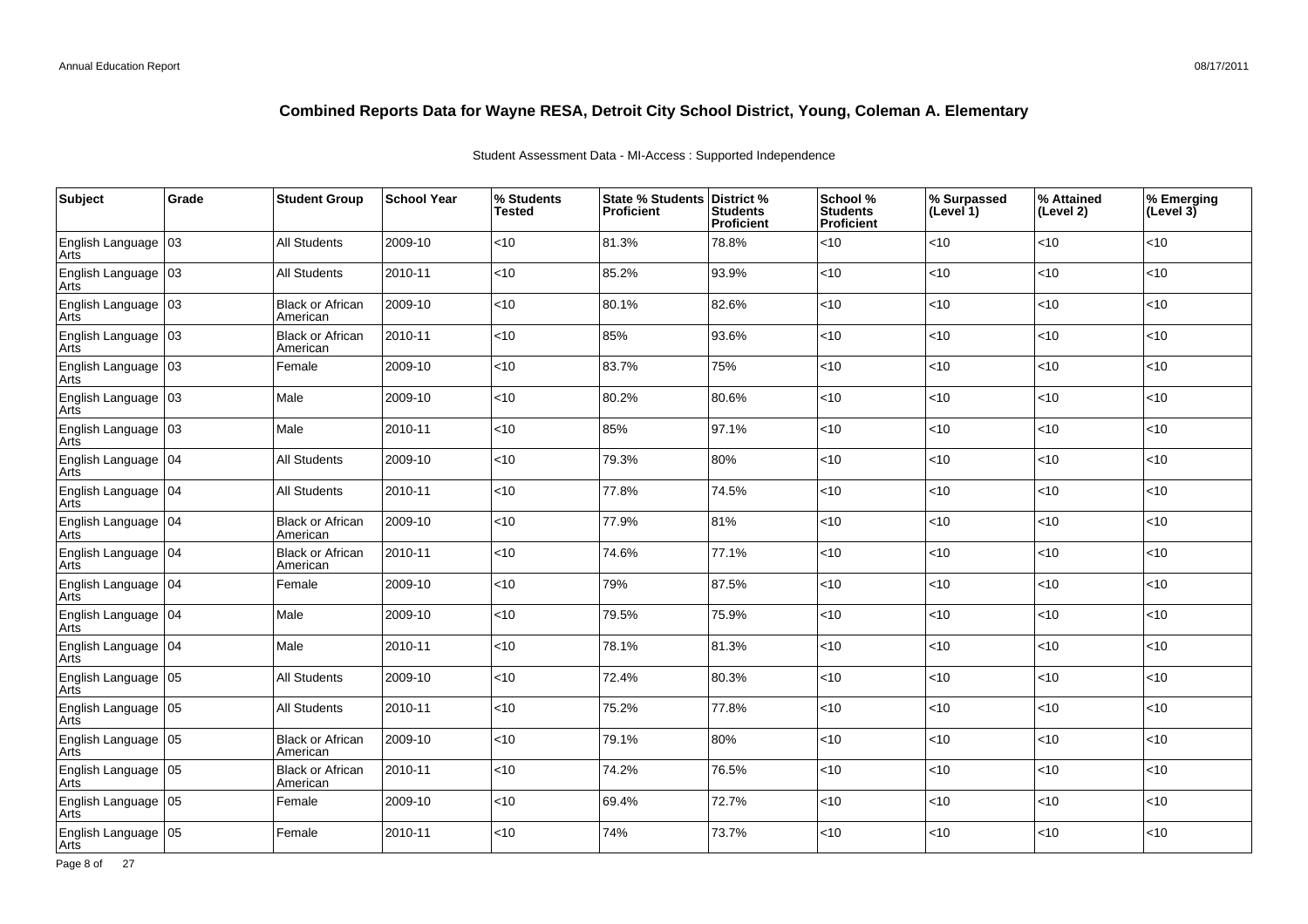| Student Assessment Data - MI-Access: Supported Independence |  |  |
|-------------------------------------------------------------|--|--|
|                                                             |  |  |

| Subject                       | Grade | <b>Student Group</b>                | <b>School Year</b> | % Students<br>Tested | State % Students District %<br><b>Proficient</b> | <b>Students</b><br><b>Proficient</b> | School %<br><b>Students</b><br>Proficient | % Surpassed<br>(Level 1) | % Attained<br>(Level 2) | % Emerging<br>(Level $3\bar{)}$ |
|-------------------------------|-------|-------------------------------------|--------------------|----------------------|--------------------------------------------------|--------------------------------------|-------------------------------------------|--------------------------|-------------------------|---------------------------------|
| English Language   03<br>Arts |       | <b>All Students</b>                 | 2009-10            | < 10                 | 81.3%                                            | 78.8%                                | <10                                       | <10                      | <10                     | $<$ 10                          |
| English Language 03<br>Arts   |       | <b>All Students</b>                 | 2010-11            | $<$ 10               | 85.2%                                            | 93.9%                                | <10                                       | <10                      | $<10$                   | $<$ 10                          |
| English Language 03<br>Arts   |       | <b>Black or African</b><br>American | 2009-10            | $<$ 10               | 80.1%                                            | 82.6%                                | <10                                       | <10                      | <10                     | <10                             |
| English Language   03<br>Arts |       | <b>Black or African</b><br>American | 2010-11            | <10                  | 85%                                              | 93.6%                                | <10                                       | <10                      | <10                     | $<$ 10                          |
| English Language   03<br>Arts |       | Female                              | 2009-10            | <10                  | 83.7%                                            | 75%                                  | <10                                       | <10                      | <10                     | $<$ 10                          |
| English Language 03<br>Arts   |       | Male                                | 2009-10            | <10                  | 80.2%                                            | 80.6%                                | <10                                       | <10                      | <10                     | $<10$                           |
| English Language   03<br>Arts |       | Male                                | 2010-11            | <10                  | 85%                                              | 97.1%                                | <10                                       | <10                      | <10                     | $<10$                           |
| English Language 04<br>Arts   |       | <b>All Students</b>                 | 2009-10            | <10                  | 79.3%                                            | 80%                                  | <10                                       | <10                      | <10                     | $<10$                           |
| English Language   04<br>Arts |       | All Students                        | 2010-11            | <10                  | 77.8%                                            | 74.5%                                | <10                                       | <10                      | <10                     | <10                             |
| English Language   04<br>Arts |       | <b>Black or African</b><br>American | 2009-10            | $<10$                | 77.9%                                            | 81%                                  | <10                                       | <10                      | <10                     | $<10$                           |
| English Language   04<br>Arts |       | <b>Black or African</b><br>American | 2010-11            | <10                  | 74.6%                                            | 77.1%                                | <10                                       | <10                      | <10                     | $<$ 10                          |
| English Language   04<br>Arts |       | Female                              | 2009-10            | <10                  | 79%                                              | 87.5%                                | <10                                       | <10                      | <10                     | ~10                             |
| English Language 04<br>Arts   |       | Male                                | 2009-10            | <10                  | 79.5%                                            | 75.9%                                | <10                                       | <10                      | <10                     | $<$ 10                          |
| English Language   04<br>Arts |       | Male                                | 2010-11            | $<$ 10               | 78.1%                                            | 81.3%                                | <10                                       | <10                      | <10                     | $<10$                           |
| English Language 05<br>Arts   |       | <b>All Students</b>                 | 2009-10            | <10                  | 72.4%                                            | 80.3%                                | <10                                       | <10                      | <10                     | <10                             |
| English Language   05<br>Arts |       | <b>All Students</b>                 | 2010-11            | <10                  | 75.2%                                            | 77.8%                                | <10                                       | <10                      | <10                     | $<$ 10                          |
| English Language   05<br>Arts |       | <b>Black or African</b><br>American | 2009-10            | <10                  | 79.1%                                            | 80%                                  | <10                                       | <10                      | <10                     | $<10$                           |
| English Language   05<br>Arts |       | <b>Black or African</b><br>American | 2010-11            | < 10                 | 74.2%                                            | 76.5%                                | <10                                       | <10                      | < 10                    | < 10                            |
| English Language 05<br>Arts   |       | Female                              | 2009-10            | < 10                 | 69.4%                                            | 72.7%                                | $<$ 10                                    | <10                      | <10                     | < 10                            |
| English Language   05<br>Arts |       | Female                              | 2010-11            | <10                  | 74%                                              | 73.7%                                | <10                                       | <10                      | <10                     | < 10                            |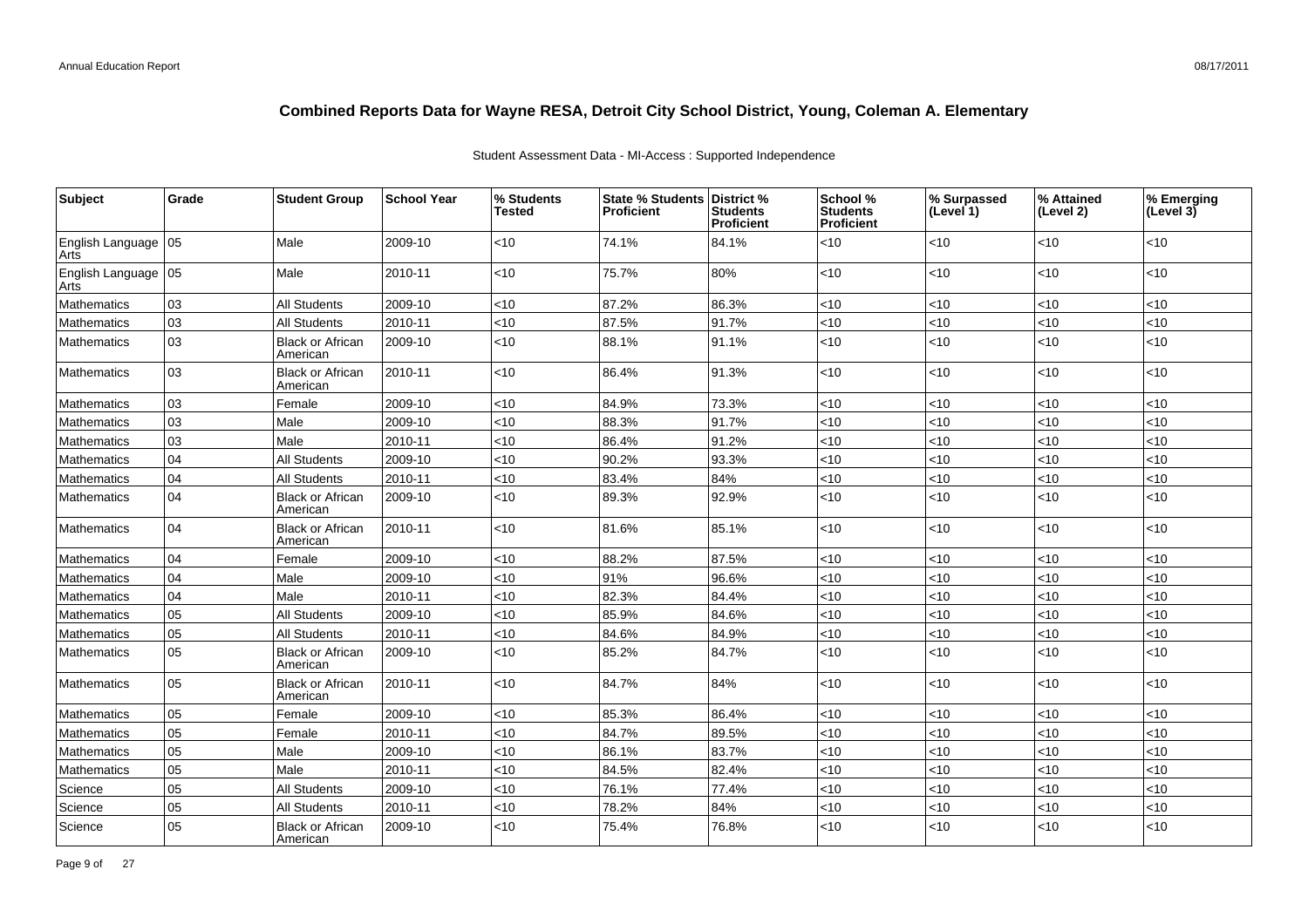| Subject                       | Grade | <b>Student Group</b>                | <b>School Year</b> | % Students<br>Tested | <b>State % Students</b><br><b>Proficient</b> | District %<br><b>Students</b><br>Proficient | School %<br><b>Students</b><br>Proficient | % Surpassed<br>(Level 1) | % Attained<br>(Level 2) | % Emerging<br>(Level $3\bar{)}$ |
|-------------------------------|-------|-------------------------------------|--------------------|----------------------|----------------------------------------------|---------------------------------------------|-------------------------------------------|--------------------------|-------------------------|---------------------------------|
| English Language   05<br>Arts |       | Male                                | 2009-10            | $<$ 10               | 74.1%                                        | 84.1%                                       | $<$ 10                                    | <10                      | < 10                    | $<$ 10                          |
| English Language 05<br>Arts   |       | Male                                | 2010-11            | <10                  | 75.7%                                        | 80%                                         | <10                                       | <10                      | <10                     | < 10                            |
| Mathematics                   | 03    | <b>All Students</b>                 | 2009-10            | <10                  | 87.2%                                        | 86.3%                                       | <10                                       | <10                      | <10                     | < 10                            |
| Mathematics                   | 03    | <b>All Students</b>                 | 2010-11            | <10                  | 87.5%                                        | 91.7%                                       | <10                                       | <10                      | $<10$                   | < 10                            |
| Mathematics                   | 03    | <b>Black or African</b><br>American | 2009-10            | <10                  | 88.1%                                        | 91.1%                                       | < 10                                      | <10                      | < 10                    | ~10                             |
| Mathematics                   | 03    | <b>Black or African</b><br>American | 2010-11            | <10                  | 86.4%                                        | 91.3%                                       | <10                                       | <10                      | <10                     | < 10                            |
| Mathematics                   | 03    | Female                              | 2009-10            | <10                  | 84.9%                                        | 73.3%                                       | <10                                       | <10                      | <10                     | < 10                            |
| Mathematics                   | 03    | Male                                | 2009-10            | <10                  | 88.3%                                        | 91.7%                                       | <10                                       | <10                      | <10                     | < 10                            |
| Mathematics                   | 03    | Male                                | 2010-11            | <10                  | 86.4%                                        | 91.2%                                       | <10                                       | <10                      | < 10                    | < 10                            |
| Mathematics                   | 04    | <b>All Students</b>                 | 2009-10            | <10                  | 90.2%                                        | 93.3%                                       | <10                                       | <10                      | <10                     | <10                             |
| Mathematics                   | 04    | <b>All Students</b>                 | 2010-11            | <10                  | 83.4%                                        | 84%                                         | <10                                       | <10                      | <10                     | <10                             |
| Mathematics                   | 04    | <b>Black or African</b><br>American | 2009-10            | <10                  | 89.3%                                        | 92.9%                                       | <10                                       | <10                      | <10                     | < 10                            |
| Mathematics                   | 04    | <b>Black or African</b><br>American | 2010-11            | <10                  | 81.6%                                        | 85.1%                                       | <10                                       | <10                      | < 10                    | < 10                            |
| Mathematics                   | 04    | Female                              | 2009-10            | <10                  | 88.2%                                        | 87.5%                                       | <10                                       | <10                      | <10                     | < 10                            |
| Mathematics                   | 04    | Male                                | 2009-10            | <10                  | 91%                                          | 96.6%                                       | <10                                       | <10                      | <10                     | < 10                            |
| Mathematics                   | 04    | Male                                | 2010-11            | <10                  | 82.3%                                        | 84.4%                                       | <10                                       | <10                      | < 10                    | < 10                            |
| Mathematics                   | 05    | <b>All Students</b>                 | 2009-10            | <10                  | 85.9%                                        | 84.6%                                       | <10                                       | <10                      | <10                     | <10                             |
| Mathematics                   | 05    | <b>All Students</b>                 | 2010-11            | <10                  | 84.6%                                        | 84.9%                                       | $<$ 10                                    | <10                      | < 10                    | < 10                            |
| Mathematics                   | 05    | <b>Black or African</b><br>American | 2009-10            | <10                  | 85.2%                                        | 84.7%                                       | <10                                       | <10                      | < 10                    | ~10                             |
| Mathematics                   | 05    | <b>Black or African</b><br>American | 2010-11            | <10                  | 84.7%                                        | 84%                                         | <10                                       | <10                      | < 10                    | < 10                            |
| Mathematics                   | 05    | Female                              | 2009-10            | <10                  | 85.3%                                        | 86.4%                                       | <10                                       | <10                      | <10                     | < 10                            |
| Mathematics                   | 05    | Female                              | 2010-11            | <10                  | 84.7%                                        | 89.5%                                       | <10                                       | <10                      | < 10                    | < 10                            |
| Mathematics                   | 05    | Male                                | 2009-10            | <10                  | 86.1%                                        | 83.7%                                       | <10                                       | <10                      | <10                     | < 10                            |
| Mathematics                   | 05    | Male                                | 2010-11            | <10                  | 84.5%                                        | 82.4%                                       | < 10                                      | <10                      | <10                     | <10                             |
| Science                       | 05    | All Students                        | 2009-10            | $<$ 10               | 76.1%                                        | 77.4%                                       | <10                                       | < 10                     | <10                     | < 10                            |
| Science                       | 05    | All Students                        | 2010-11            | <10                  | 78.2%                                        | 84%                                         | <10                                       | <10                      | <10                     | <10                             |
| Science                       | 05    | Black or African<br>American        | 2009-10            | <10                  | 75.4%                                        | 76.8%                                       | <10                                       | <10                      | < 10                    | < 10                            |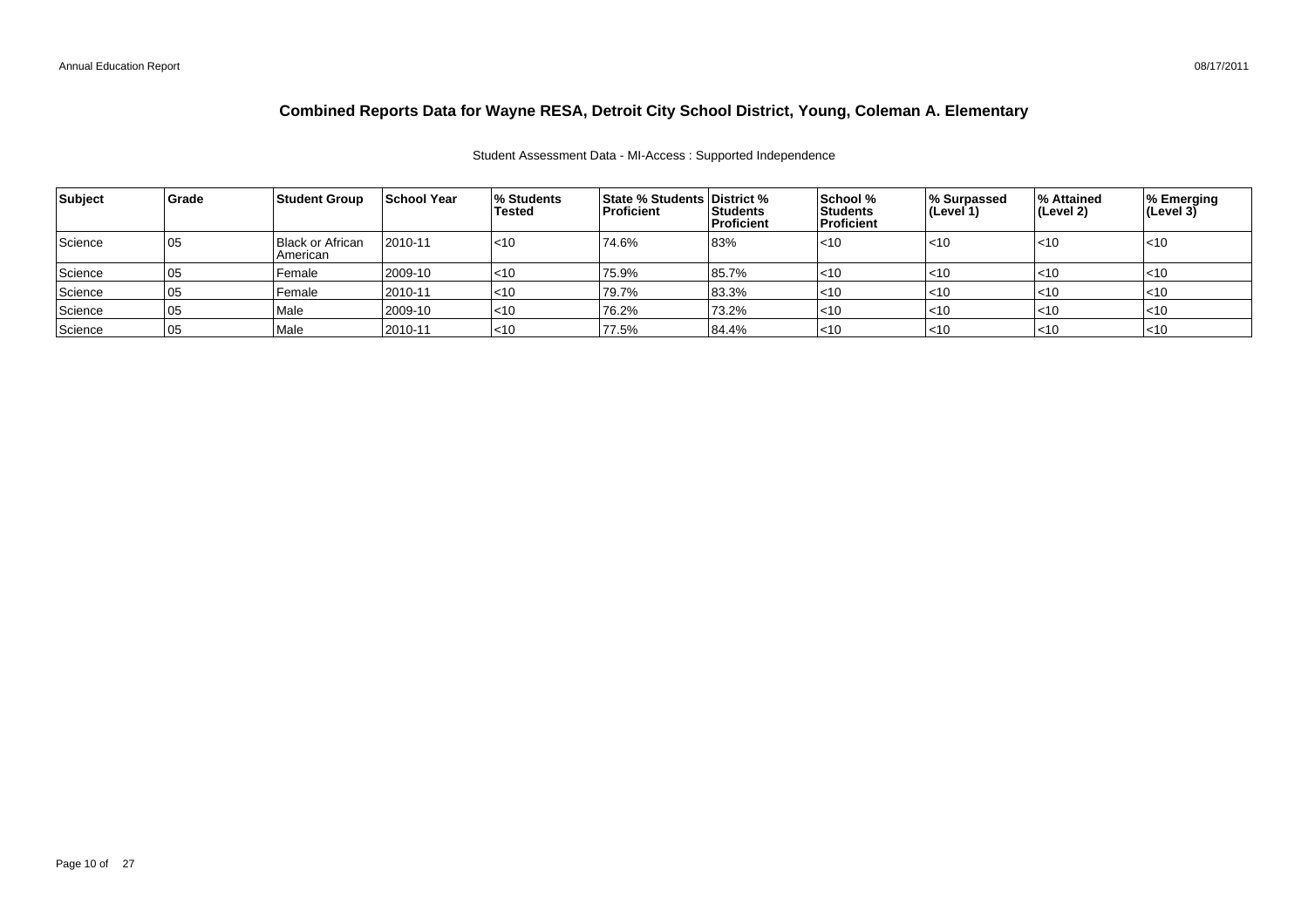#### Student Assessment Data - MI-Access : Supported Independence

| Subject | Grade | <b>Student Group</b>         | <b>School Year</b> | l% Students<br>Tested | <b>State % Students District %</b><br><b>Proficient</b> | <b>Students</b><br>Proficient | School %<br><b>Students</b><br><b>Proficient</b> | % Surpassed<br>(Level 1) | <b>1% Attained</b><br>∣(Level 2) | % Emerging<br>(Level 3) |
|---------|-------|------------------------------|--------------------|-----------------------|---------------------------------------------------------|-------------------------------|--------------------------------------------------|--------------------------|----------------------------------|-------------------------|
| Science | 05    | Black or African<br>American | 2010-11            | l<10                  | 74.6%                                                   | 83%                           | $<$ 10                                           | $<$ 10                   | <10                              | l<10                    |
| Science | 05    | Female                       | 2009-10            | $ $ <10               | 75.9%                                                   | 85.7%                         | $<$ 10                                           | $<$ 10                   | l<10                             | $<$ 10                  |
| Science | 05    | Female                       | 2010-11            | $<$ 10                | 79.7%                                                   | 83.3%                         | $<$ 10                                           | $<$ 10                   | $ $ <10                          | l<10                    |
| Science | 105   | Male                         | 2009-10            | $ $ < 10              | 76.2%                                                   | 73.2%                         | $<$ 10                                           | $<$ 10                   | $ $ <10                          | l<10                    |
| Science | 105   | Male                         | 2010-11            | $ $ < 10              | 77.5%                                                   | 84.4%                         | $<$ 10                                           | $<$ 10                   | l<10                             | l<10                    |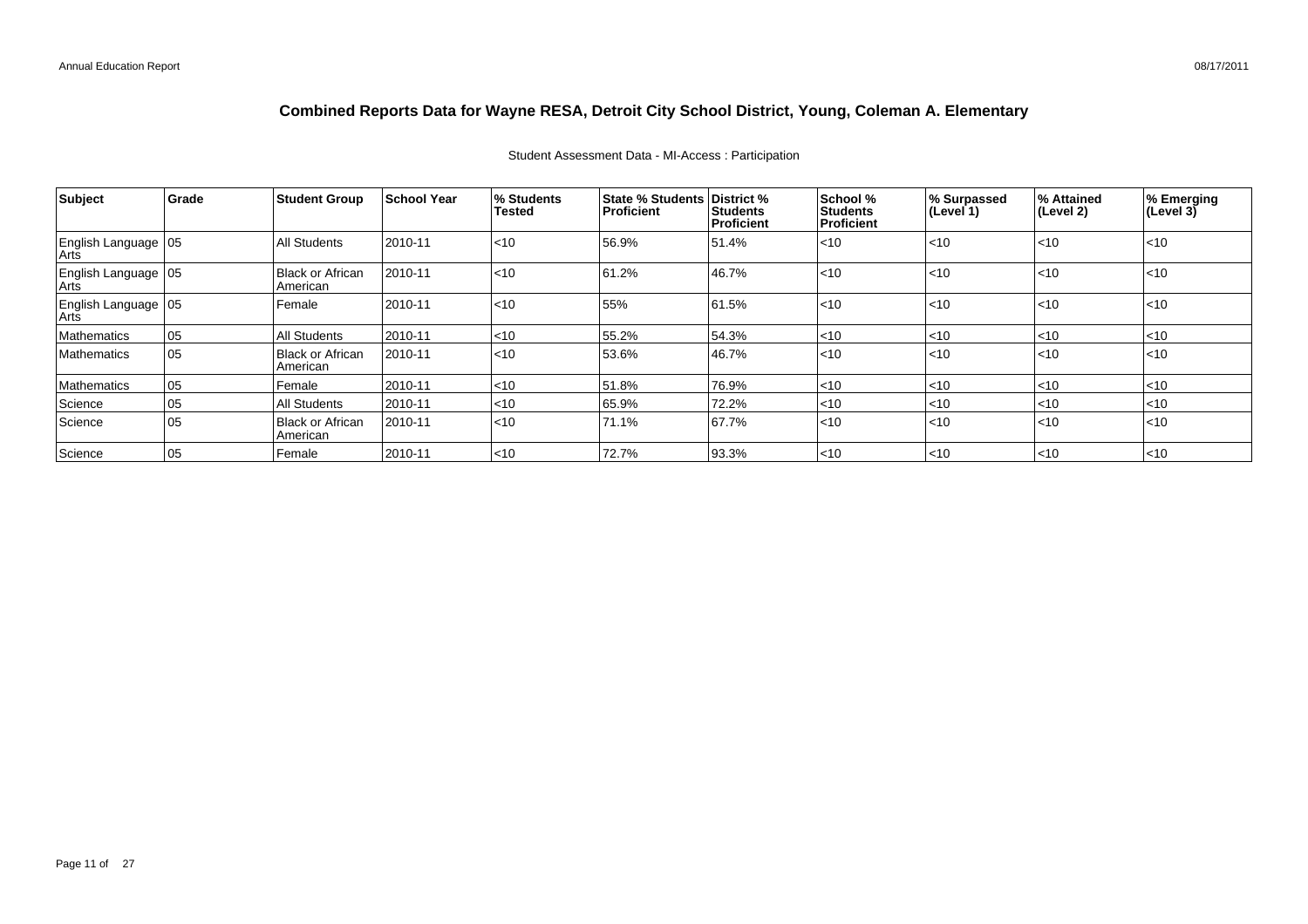# **Combined Reports Data for Wayne RESA, Detroit City School District, Young, Coleman A. Elementary**

| Subject                       | Grade | <b>Student Group</b>                | <b>School Year</b> | % Students<br>Tested | <b>State % Students District %</b><br><b>Proficient</b> | Students<br>Proficient | School %<br><b>Students</b><br>Proficient | % Surpassed<br>∣(Level 1) | % Attained<br>(Level 2) | % Emerging<br>(Level 3) |
|-------------------------------|-------|-------------------------------------|--------------------|----------------------|---------------------------------------------------------|------------------------|-------------------------------------------|---------------------------|-------------------------|-------------------------|
| English Language   05<br>Arts |       | <b>All Students</b>                 | 2010-11            | $ $ < 10             | 56.9%                                                   | 51.4%                  | l<10                                      | $ $ < 10                  | $ $ < 10                | < 10                    |
| English Language   05<br>Arts |       | <b>Black or African</b><br>American | 2010-11            | $ $ < 10             | 61.2%                                                   | 46.7%                  | l<10                                      | $ $ < 10                  | $ $ < 10                | < 10                    |
| English Language 05           |       | Female                              | 2010-11            | < 10                 | 55%                                                     | 61.5%                  | l<10                                      | $ $ < 10                  | $ $ < 10                | < 10                    |
| Mathematics                   | 05    | <b>All Students</b>                 | 2010-11            | $<$ 10               | 55.2%                                                   | 54.3%                  | l<10                                      | $ $ < 10                  | $ $ < 10                | $<$ 10                  |
| <b>Mathematics</b>            | 105   | Black or African<br>American        | 2010-11            | < 10                 | 53.6%                                                   | 46.7%                  | l<10                                      | $ $ < 10                  | $ $ <10                 | $<$ 10                  |
| Mathematics                   | 105   | Female                              | 2010-11            | $ $ < 10             | 51.8%                                                   | 76.9%                  | l<10                                      | $<$ 10                    | $ $ < 10                | $<$ 10                  |
| Science                       | 05    | <b>All Students</b>                 | 2010-11            | $<$ 10               | 65.9%                                                   | 72.2%                  | $<$ 10                                    | $<$ 10                    | $<$ 10                  | $<$ 10                  |
| Science                       | 105   | <b>Black or African</b><br>American | 2010-11            | $ $ < 10             | 71.1%                                                   | 67.7%                  | l<10                                      | $ $ < 10                  | $ $ <10                 | < 10                    |
| Science                       | 05    | Female                              | 2010-11            | $ $ <10              | 72.7%                                                   | 93.3%                  | $ $ <10                                   | $ $ < 10                  | $ $ <10                 | $<$ 10                  |

#### Student Assessment Data - MI-Access : Participation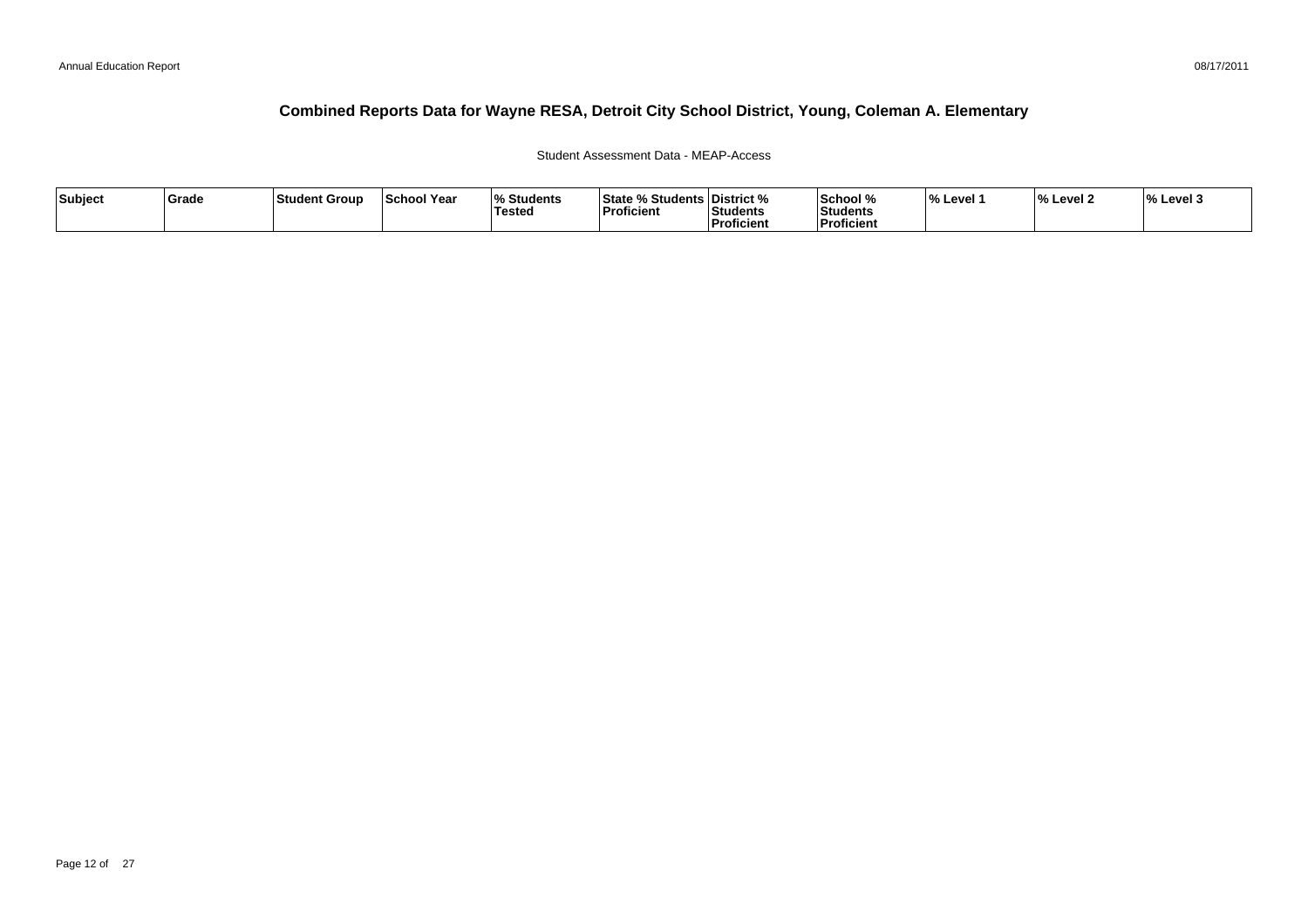### Student Assessment Data - MEAP-Access

| Subject | Grade | Student Group | <b>School Year</b> | <b>Students</b><br><b>Tested</b> | <b>State % Students District %</b><br><b>Proficient</b> | <b>Students</b><br>'Proficient | School %<br>Students<br><b>Proficient</b> | ∣% Level ′ | 0۰/<br>% Level 2 | $\frac{1}{6}$ Level 3 |
|---------|-------|---------------|--------------------|----------------------------------|---------------------------------------------------------|--------------------------------|-------------------------------------------|------------|------------------|-----------------------|
|---------|-------|---------------|--------------------|----------------------------------|---------------------------------------------------------|--------------------------------|-------------------------------------------|------------|------------------|-----------------------|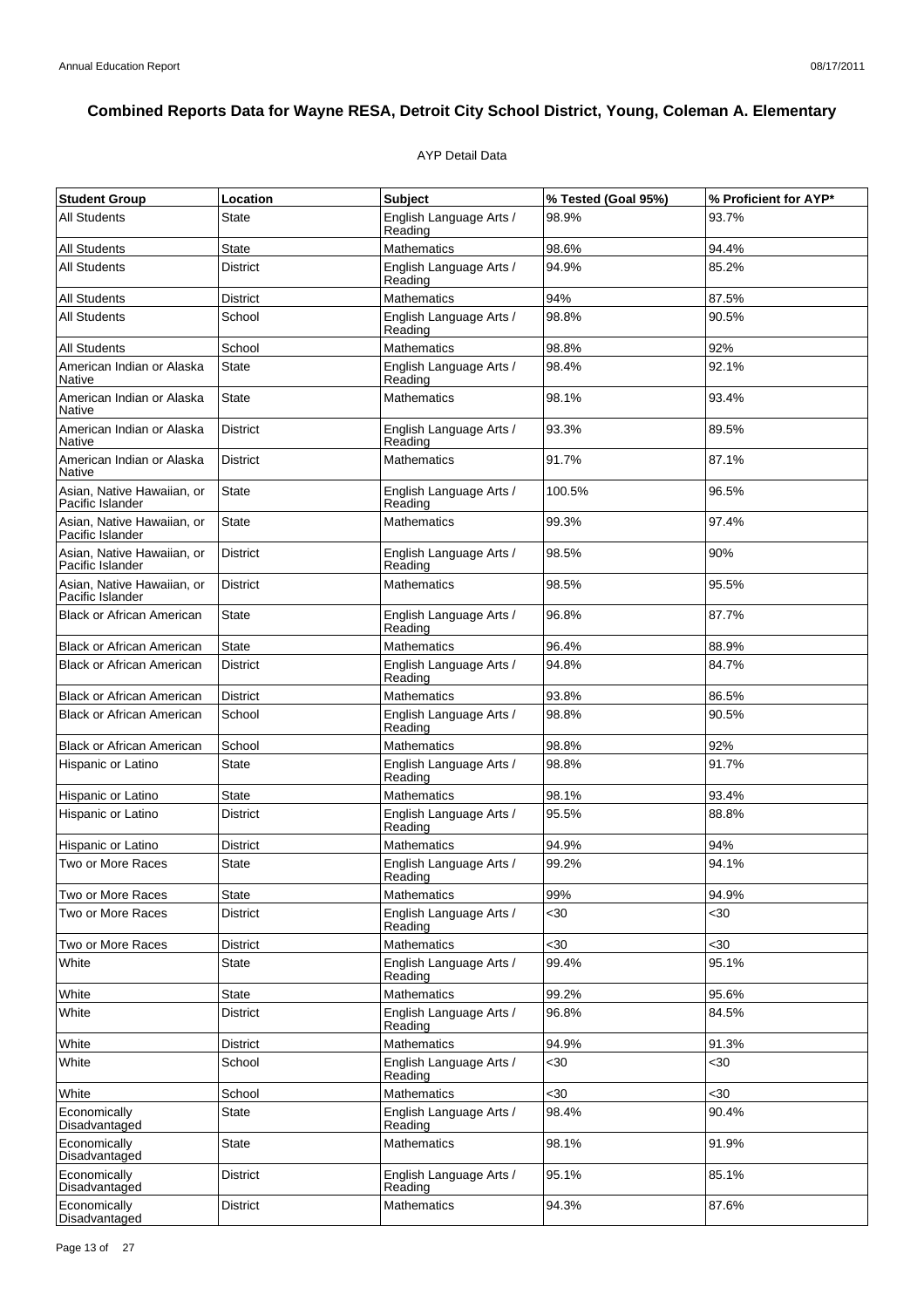## AYP Detail Data

| <b>Student Group</b>                           | Location        | <b>Subject</b>                     | % Tested (Goal 95%) | % Proficient for AYP* |
|------------------------------------------------|-----------------|------------------------------------|---------------------|-----------------------|
| <b>All Students</b>                            | <b>State</b>    | English Language Arts /<br>Reading | 98.9%               | 93.7%                 |
| <b>All Students</b>                            | <b>State</b>    | Mathematics                        | 98.6%               | 94.4%                 |
| All Students                                   | <b>District</b> | English Language Arts /<br>Reading | 94.9%               | 85.2%                 |
| <b>All Students</b>                            | <b>District</b> | <b>Mathematics</b>                 | 94%                 | 87.5%                 |
| All Students                                   | School          | English Language Arts /<br>Reading | 98.8%               | 90.5%                 |
| <b>All Students</b>                            | School          | Mathematics                        | 98.8%               | 92%                   |
| American Indian or Alaska<br>Native            | <b>State</b>    | English Language Arts /<br>Reading | 98.4%               | 92.1%                 |
| American Indian or Alaska<br>Native            | <b>State</b>    | <b>Mathematics</b>                 | 98.1%               | 93.4%                 |
| American Indian or Alaska<br>Native            | <b>District</b> | English Language Arts /<br>Reading | 93.3%               | 89.5%                 |
| American Indian or Alaska<br>Native            | <b>District</b> | <b>Mathematics</b>                 | 91.7%               | 87.1%                 |
| Asian, Native Hawaiian, or<br>Pacific Islander | <b>State</b>    | English Language Arts /<br>Reading | 100.5%              | 96.5%                 |
| Asian, Native Hawaiian, or<br>Pacific Islander | State           | <b>Mathematics</b>                 | 99.3%               | 97.4%                 |
| Asian, Native Hawaiian, or<br>Pacific Islander | <b>District</b> | English Language Arts /<br>Reading | 98.5%               | 90%                   |
| Asian, Native Hawaiian, or<br>Pacific Islander | <b>District</b> | <b>Mathematics</b>                 | 98.5%               | 95.5%                 |
| <b>Black or African American</b>               | State           | English Language Arts /<br>Reading | 96.8%               | 87.7%                 |
| <b>Black or African American</b>               | <b>State</b>    | Mathematics                        | 96.4%               | 88.9%                 |
| <b>Black or African American</b>               | <b>District</b> | English Language Arts /<br>Reading | 94.8%               | 84.7%                 |
| <b>Black or African American</b>               | <b>District</b> | Mathematics                        | 93.8%               | 86.5%                 |
| <b>Black or African American</b>               | School          | English Language Arts /<br>Reading | 98.8%               | 90.5%                 |
| <b>Black or African American</b>               | School          | <b>Mathematics</b>                 | 98.8%               | 92%                   |
| Hispanic or Latino                             | State           | English Language Arts /<br>Reading | 98.8%               | 91.7%                 |
| Hispanic or Latino                             | State           | <b>Mathematics</b>                 | 98.1%               | 93.4%                 |
| Hispanic or Latino                             | <b>District</b> | English Language Arts /<br>Reading | 95.5%               | 88.8%                 |
| Hispanic or Latino                             | <b>District</b> | Mathematics                        | 94.9%               | 94%                   |
| Two or More Races                              | State           | English Language Arts /<br>Reading | 99.2%               | 94.1%                 |
| Two or More Races                              | <b>State</b>    | <b>Mathematics</b>                 | 99%                 | 94.9%                 |
| Two or More Races                              | District        | English Language Arts /<br>Reading | $30$                | $30$                  |
| Two or More Races                              | <b>District</b> | <b>Mathematics</b>                 | $30$                | $30$                  |
| White                                          | <b>State</b>    | English Language Arts /<br>Reading | 99.4%               | 95.1%                 |
| White                                          | State           | Mathematics                        | 99.2%               | 95.6%                 |
| White                                          | <b>District</b> | English Language Arts /<br>Reading | 96.8%               | 84.5%                 |
| White                                          | <b>District</b> | <b>Mathematics</b>                 | 94.9%               | 91.3%                 |
| White                                          | School          | English Language Arts /<br>Reading | $30$                | <30                   |
| White                                          | School          | <b>Mathematics</b>                 | $30$                | $30$                  |
| Economically<br>Disadvantaged                  | <b>State</b>    | English Language Arts /<br>Reading | 98.4%               | 90.4%                 |
| Economically<br>Disadvantaged                  | <b>State</b>    | Mathematics                        | 98.1%               | 91.9%                 |
| Economically<br>Disadvantaged                  | District        | English Language Arts /<br>Reading | 95.1%               | 85.1%                 |
| Economically<br>Disadvantaged                  | District        | <b>Mathematics</b>                 | 94.3%               | 87.6%                 |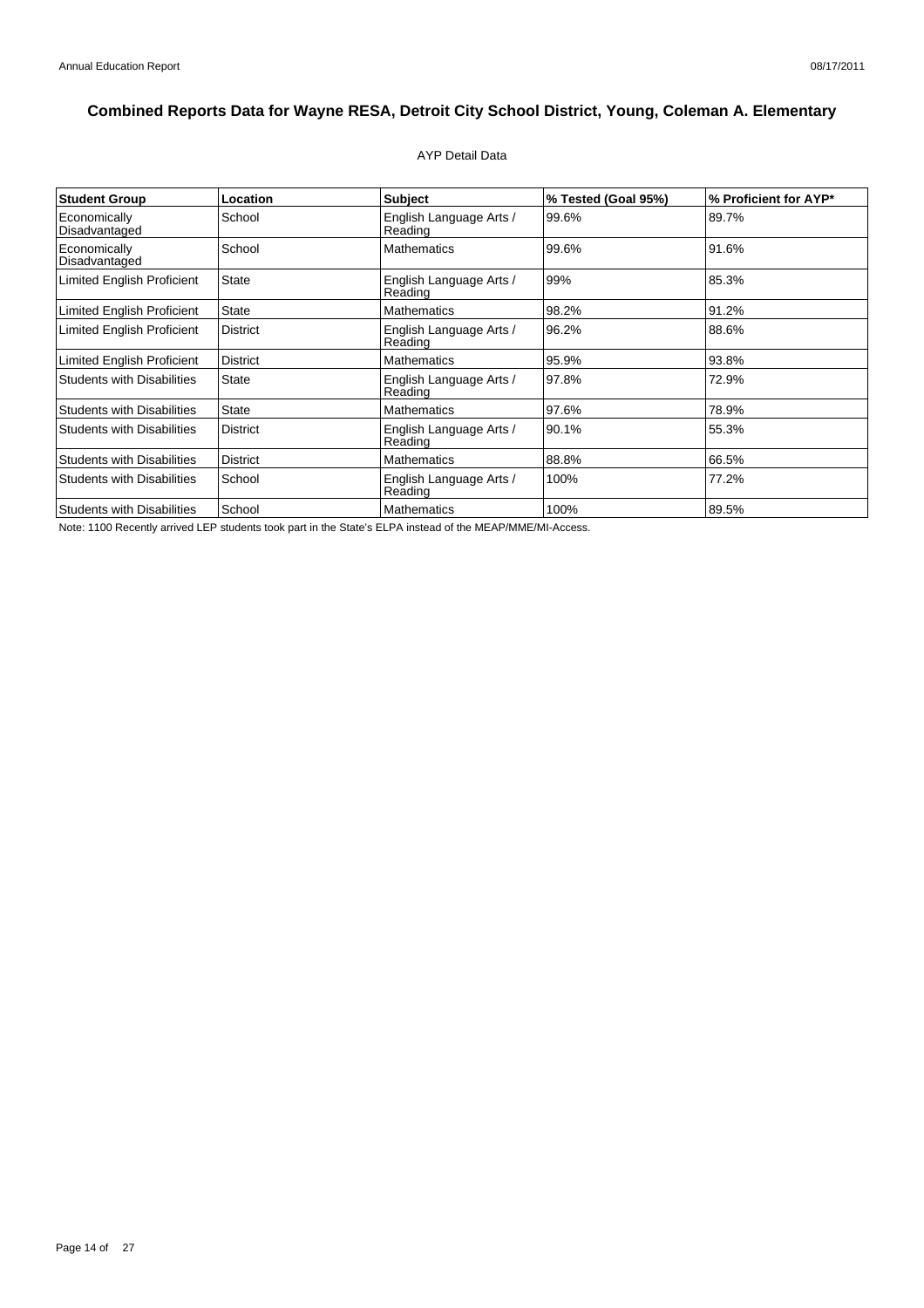### AYP Detail Data

| <b>Student Group</b>              | Location        | <b>Subject</b>                     | % Tested (Goal 95%) | % Proficient for AYP* |
|-----------------------------------|-----------------|------------------------------------|---------------------|-----------------------|
| Economically<br>Disadvantaged     | School          | English Language Arts /<br>Reading | 99.6%               | 89.7%                 |
| Economically<br>Disadvantaged     | School          | <b>Mathematics</b>                 | 99.6%               | 91.6%                 |
| <b>Limited English Proficient</b> | <b>State</b>    | English Language Arts /<br>Reading | 99%                 | 85.3%                 |
| Limited English Proficient        | <b>State</b>    | <b>Mathematics</b>                 | 98.2%               | 91.2%                 |
| <b>Limited English Proficient</b> | <b>District</b> | English Language Arts /<br>Reading | 96.2%               | 88.6%                 |
| Limited English Proficient        | <b>District</b> | <b>Mathematics</b>                 | 95.9%               | 93.8%                 |
| <b>Students with Disabilities</b> | <b>State</b>    | English Language Arts /<br>Reading | 97.8%               | 72.9%                 |
| <b>Students with Disabilities</b> | <b>State</b>    | <b>Mathematics</b>                 | 97.6%               | 78.9%                 |
| <b>Students with Disabilities</b> | <b>District</b> | English Language Arts /<br>Reading | 90.1%               | 55.3%                 |
| <b>Students with Disabilities</b> | <b>District</b> | <b>Mathematics</b>                 | 88.8%               | 66.5%                 |
| <b>Students with Disabilities</b> | School          | English Language Arts /<br>Reading | 100%                | 77.2%                 |
| <b>Students with Disabilities</b> | School          | <b>Mathematics</b>                 | 100%                | 89.5%                 |

Note: 1100 Recently arrived LEP students took part in the State's ELPA instead of the MEAP/MME/MI-Access.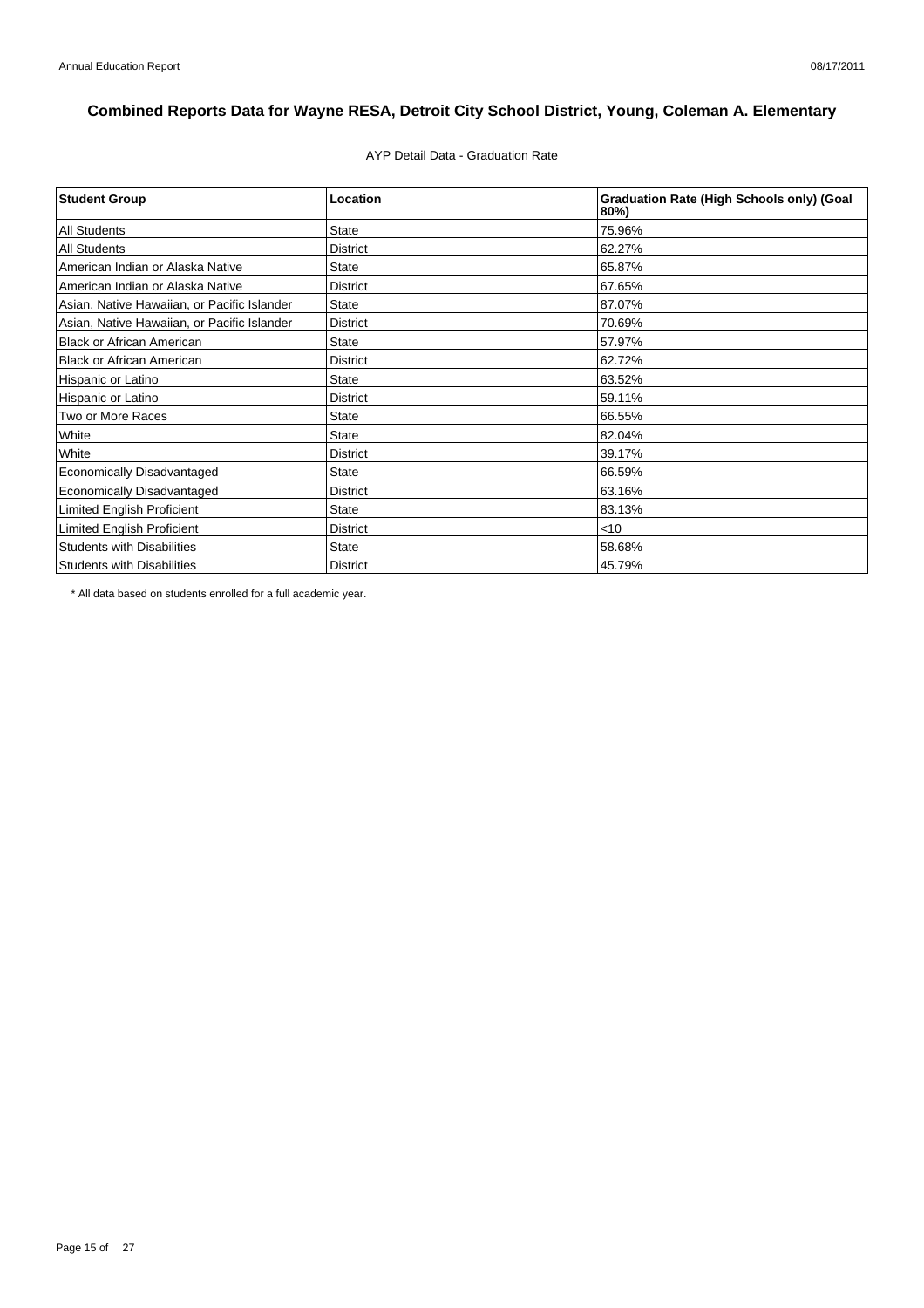AYP Detail Data - Graduation Rate

| <b>Student Group</b>                        | Location        | <b>Graduation Rate (High Schools only) (Goal</b><br>80%) |
|---------------------------------------------|-----------------|----------------------------------------------------------|
| <b>All Students</b>                         | <b>State</b>    | 75.96%                                                   |
| <b>All Students</b>                         | <b>District</b> | 62.27%                                                   |
| American Indian or Alaska Native            | <b>State</b>    | 65.87%                                                   |
| American Indian or Alaska Native            | <b>District</b> | 67.65%                                                   |
| Asian, Native Hawaiian, or Pacific Islander | <b>State</b>    | 87.07%                                                   |
| Asian, Native Hawaiian, or Pacific Islander | <b>District</b> | 70.69%                                                   |
| <b>Black or African American</b>            | <b>State</b>    | 57.97%                                                   |
| <b>Black or African American</b>            | <b>District</b> | 62.72%                                                   |
| Hispanic or Latino                          | <b>State</b>    | 63.52%                                                   |
| Hispanic or Latino                          | <b>District</b> | 59.11%                                                   |
| Two or More Races                           | <b>State</b>    | 66.55%                                                   |
| White                                       | <b>State</b>    | 82.04%                                                   |
| White                                       | <b>District</b> | 39.17%                                                   |
| Economically Disadvantaged                  | <b>State</b>    | 66.59%                                                   |
| <b>Economically Disadvantaged</b>           | <b>District</b> | 63.16%                                                   |
| <b>Limited English Proficient</b>           | <b>State</b>    | 83.13%                                                   |
| Limited English Proficient                  | <b>District</b> | $<$ 10                                                   |
| <b>Students with Disabilities</b>           | <b>State</b>    | 58.68%                                                   |
| <b>Students with Disabilities</b>           | <b>District</b> | 45.79%                                                   |

\* All data based on students enrolled for a full academic year.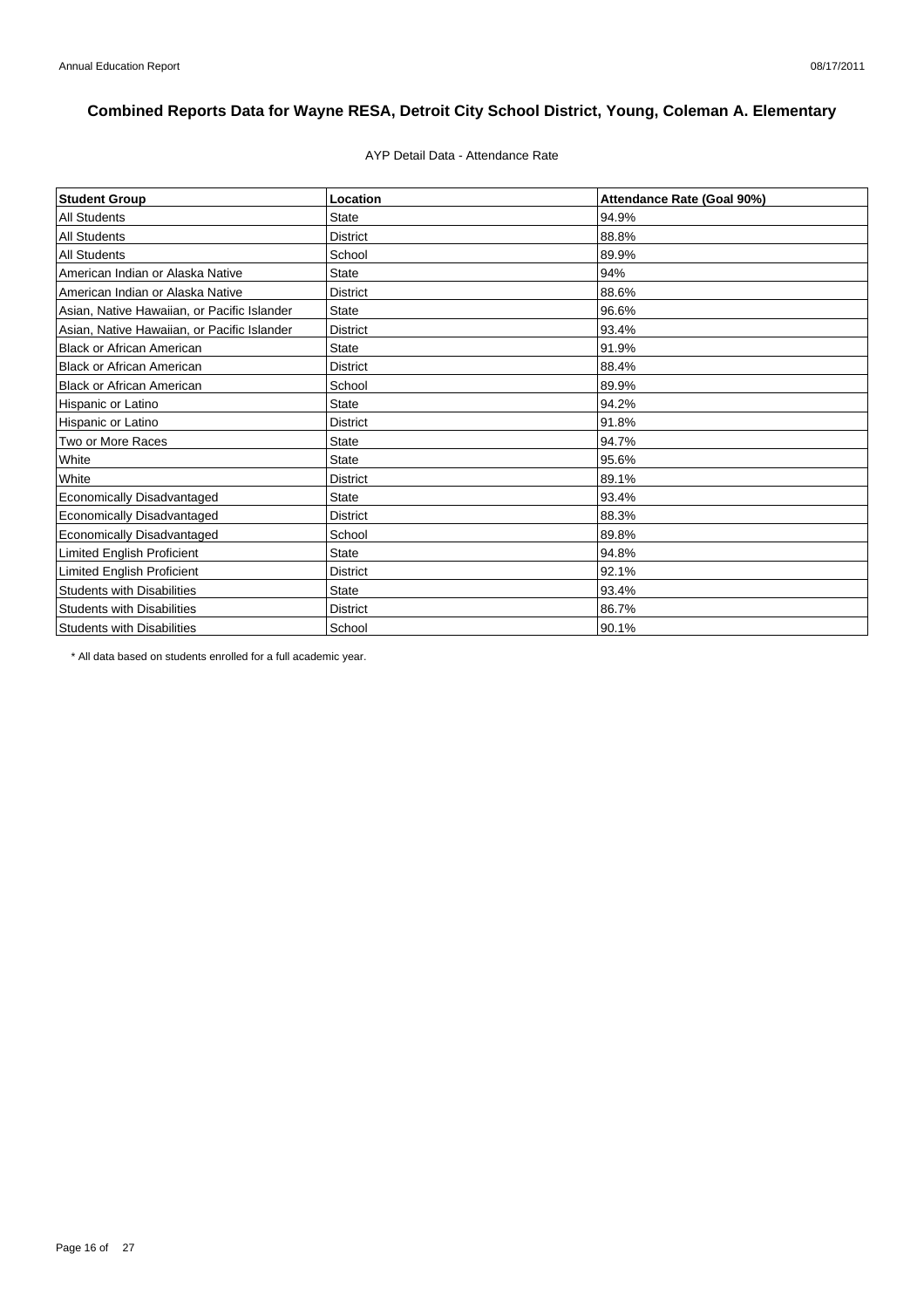### AYP Detail Data - Attendance Rate

| <b>Student Group</b>                        | Location        | Attendance Rate (Goal 90%) |
|---------------------------------------------|-----------------|----------------------------|
| <b>All Students</b>                         | <b>State</b>    | 94.9%                      |
| <b>All Students</b>                         | <b>District</b> | 88.8%                      |
| <b>All Students</b>                         | School          | 89.9%                      |
| American Indian or Alaska Native            | <b>State</b>    | 94%                        |
| American Indian or Alaska Native            | <b>District</b> | 88.6%                      |
| Asian, Native Hawaiian, or Pacific Islander | State           | 96.6%                      |
| Asian, Native Hawaiian, or Pacific Islander | <b>District</b> | 93.4%                      |
| <b>Black or African American</b>            | <b>State</b>    | 91.9%                      |
| <b>Black or African American</b>            | <b>District</b> | 88.4%                      |
| <b>Black or African American</b>            | School          | 89.9%                      |
| Hispanic or Latino                          | <b>State</b>    | 94.2%                      |
| Hispanic or Latino                          | <b>District</b> | 91.8%                      |
| Two or More Races                           | <b>State</b>    | 94.7%                      |
| White                                       | <b>State</b>    | 95.6%                      |
| White                                       | <b>District</b> | 89.1%                      |
| Economically Disadvantaged                  | <b>State</b>    | 93.4%                      |
| Economically Disadvantaged                  | <b>District</b> | 88.3%                      |
| Economically Disadvantaged                  | School          | 89.8%                      |
| Limited English Proficient                  | <b>State</b>    | 94.8%                      |
| <b>Limited English Proficient</b>           | <b>District</b> | 92.1%                      |
| <b>Students with Disabilities</b>           | <b>State</b>    | 93.4%                      |
| <b>Students with Disabilities</b>           | <b>District</b> | 86.7%                      |
| <b>Students with Disabilities</b>           | School          | 90.1%                      |

\* All data based on students enrolled for a full academic year.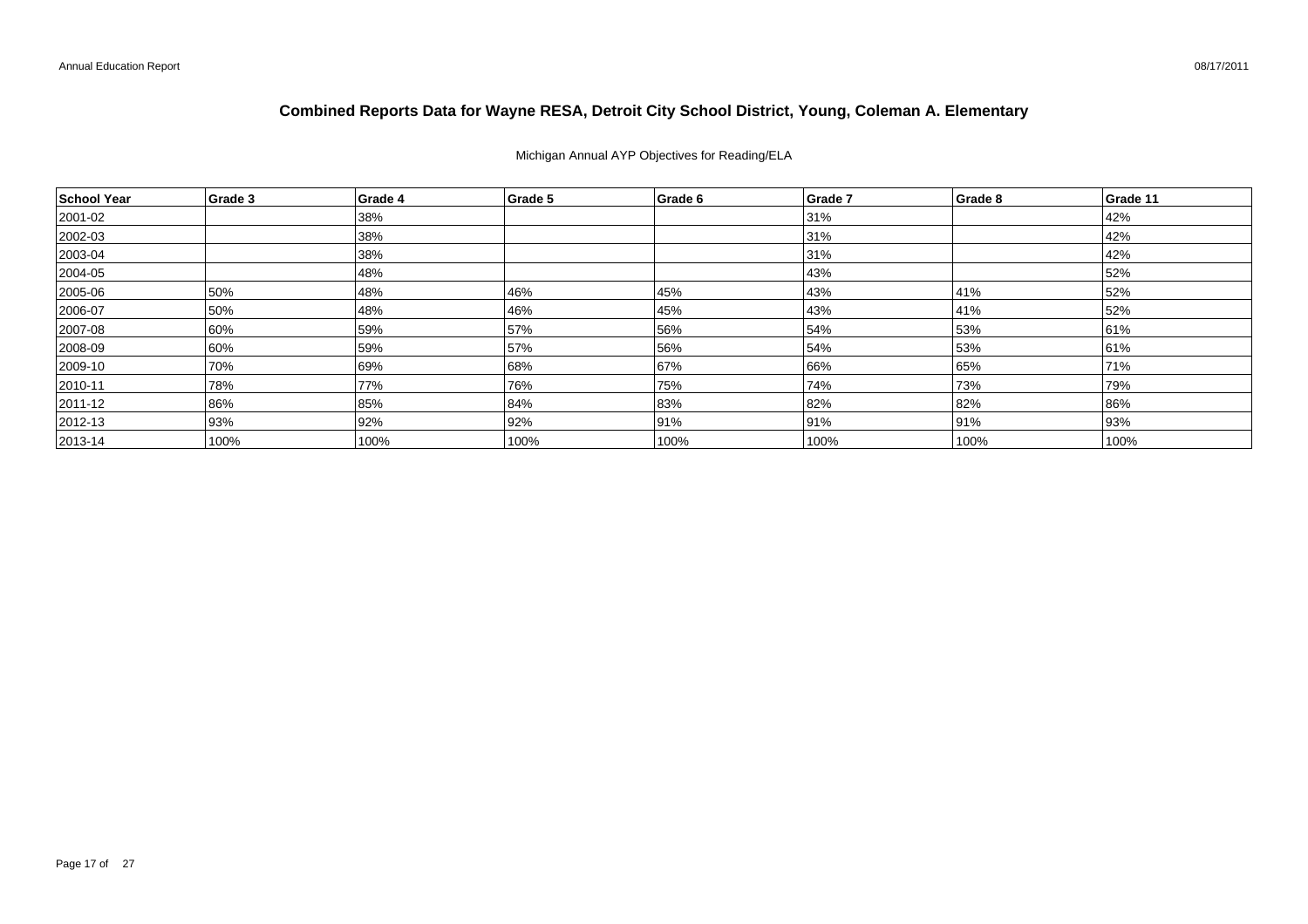## Michigan Annual AYP Objectives for Reading/ELA

| School Year  | Grade 3 | Grade 4 | Grade 5 | Grade 6 | Grade 7 | Grade 8 | Grade 11 |
|--------------|---------|---------|---------|---------|---------|---------|----------|
| 2001-02      |         | 38%     |         |         | 31%     |         | 42%      |
| 2002-03      |         | 38%     |         |         | 31%     |         | 42%      |
| $ 2003 - 04$ |         | 38%     |         |         | 31%     |         | 42%      |
| 2004-05      |         | 48%     |         |         | 43%     |         | 52%      |
| 2005-06      | 50%     | 48%     | 46%     | 45%     | 43%     | 41%     | 52%      |
| 2006-07      | 50%     | 48%     | 46%     | 45%     | 43%     | 41%     | 52%      |
| 2007-08      | 60%     | 59%     | 57%     | 56%     | 54%     | 53%     | 61%      |
| 2008-09      | 60%     | 59%     | 57%     | 56%     | 54%     | 53%     | 61%      |
| 2009-10      | 70%     | 69%     | 68%     | 67%     | 66%     | 65%     | 71%      |
| $ 2010 - 11$ | 78%     | 77%     | 76%     | 75%     | 74%     | 73%     | 79%      |
| 2011-12      | 86%     | 85%     | 84%     | 83%     | 82%     | 82%     | 86%      |
| 2012-13      | 93%     | 92%     | 92%     | 91%     | 91%     | 91%     | 93%      |
| $ 2013 - 14$ | 100%    | 100%    | 100%    | 100%    | 100%    | 100%    | 100%     |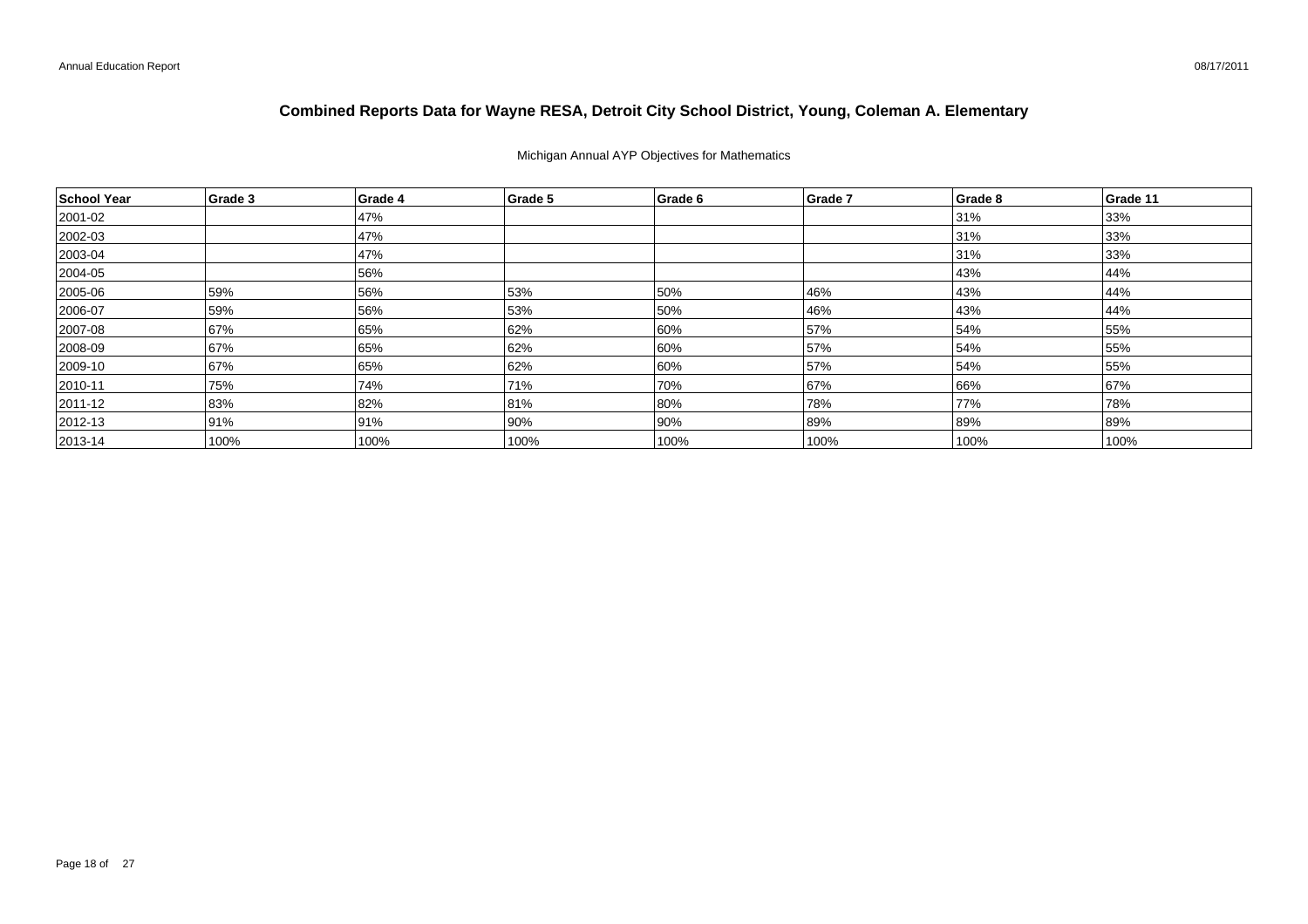## Michigan Annual AYP Objectives for Mathematics

| School Year  | Grade 3 | Grade 4 | Grade 5 | Grade 6 | Grade 7 | Grade 8 | Grade 11 |
|--------------|---------|---------|---------|---------|---------|---------|----------|
| 2001-02      |         | 47%     |         |         |         | 31%     | 33%      |
| 2002-03      |         | 47%     |         |         |         | 31%     | 33%      |
| $ 2003 - 04$ |         | 47%     |         |         |         | 31%     | 33%      |
| 2004-05      |         | 56%     |         |         |         | 43%     | 44%      |
| 2005-06      | 59%     | 56%     | 53%     | 50%     | 46%     | 43%     | 44%      |
| 2006-07      | 59%     | 56%     | 53%     | 50%     | 46%     | 43%     | 44%      |
| 2007-08      | 67%     | 65%     | 62%     | 60%     | 57%     | 54%     | 55%      |
| 2008-09      | 67%     | 65%     | 62%     | 60%     | 57%     | 54%     | 55%      |
| 2009-10      | 67%     | 65%     | 62%     | 60%     | 57%     | 54%     | 55%      |
| $ 2010 - 11$ | 75%     | 74%     | 71%     | 70%     | 67%     | 66%     | 67%      |
| 2011-12      | 83%     | 82%     | 81%     | 80%     | 78%     | 77%     | 78%      |
| $ 2012 - 13$ | 91%     | 91%     | 90%     | 90%     | 89%     | 89%     | 89%      |
| $ 2013 - 14$ | 100%    | 100%    | 100%    | 100%    | 100%    | 100%    | 100%     |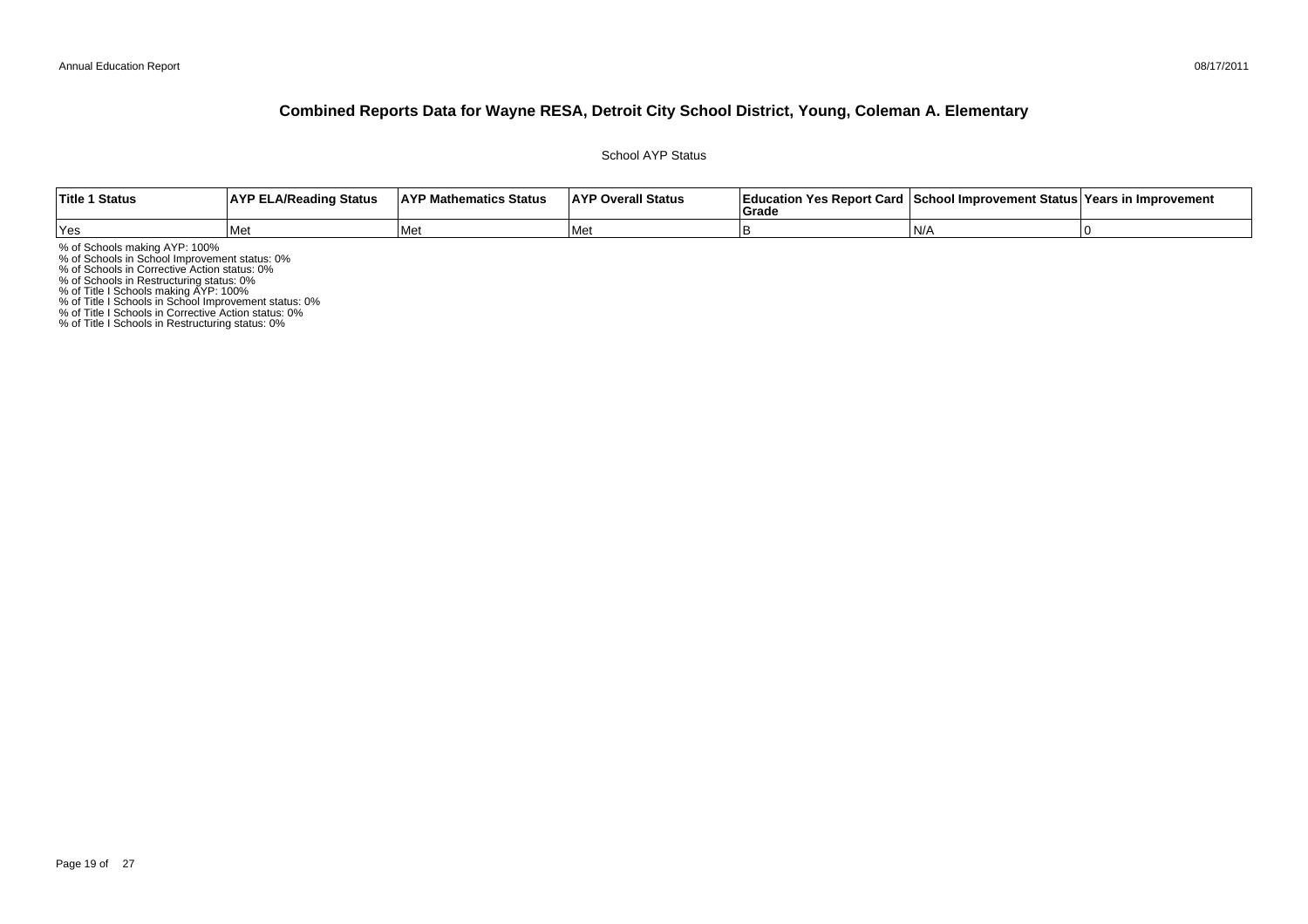School AYP Status

| <b>Title 1 Status</b> | <b>AYP ELA/Reading Status</b> | <b>AYP Mathematics Status</b> | <b>AYP Overall Status</b> | Education Yes Report Card   School Improvement Status   Years in Improvement<br>Grad |     |  |
|-----------------------|-------------------------------|-------------------------------|---------------------------|--------------------------------------------------------------------------------------|-----|--|
| Yes                   | l Met                         | l Met                         | l Met                     |                                                                                      | IN/ |  |

% of Schools making AYP: 100%<br>% of Schools in School Improvement status: 0%<br>% of Schools in Corrective Action status: 0%<br>% of Schools in Restructuring status: 0%<br>% of Title I Schools in School Improvement status: 0%<br>% of T

% of Title I Schools in Restructuring status: 0%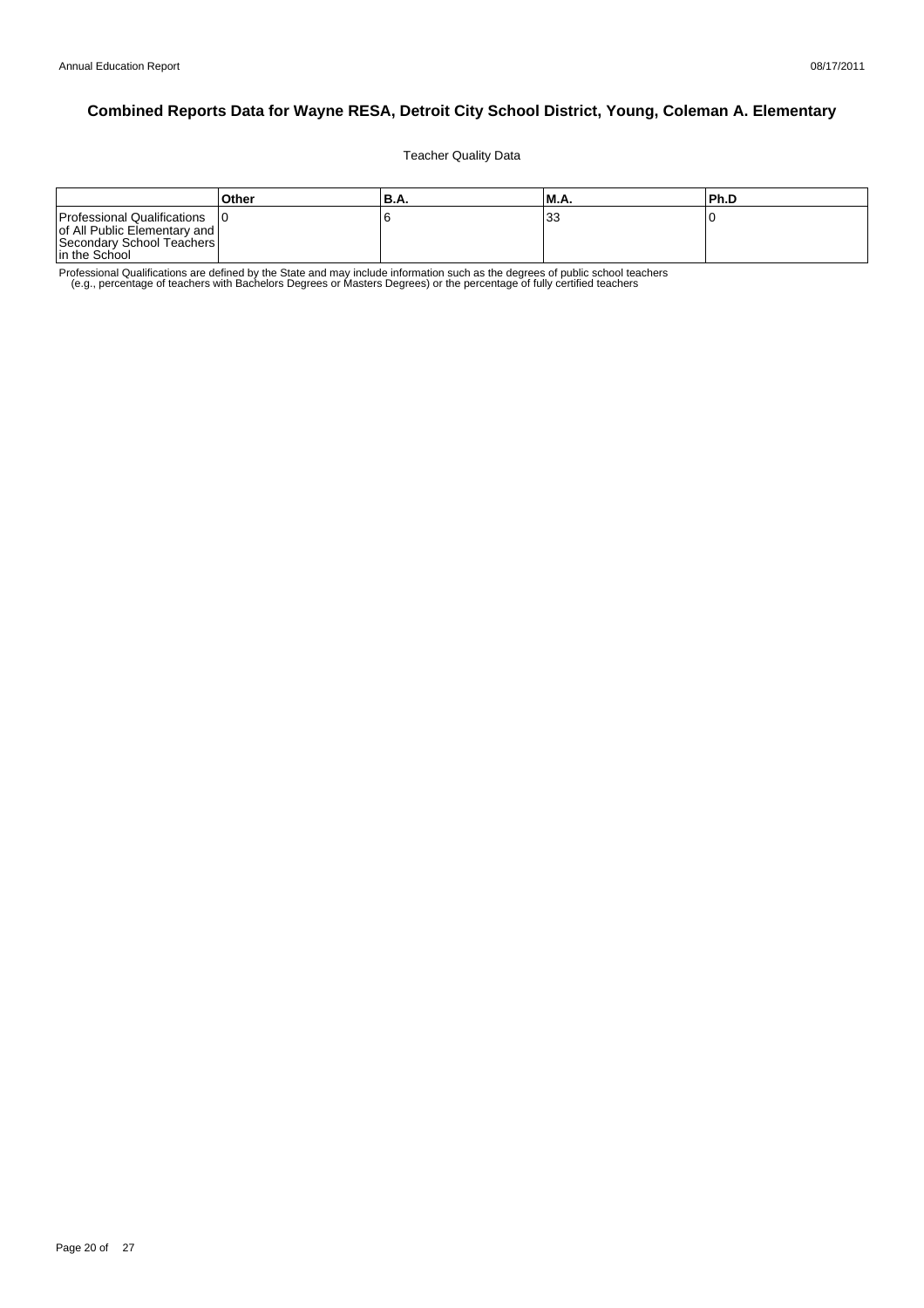Teacher Quality Data

|                                                                                                           | Other | 'B.A. | M.A.    | lPh.D |
|-----------------------------------------------------------------------------------------------------------|-------|-------|---------|-------|
| Professional Qualifications<br>of All Public Elementary and<br>Secondary School Teachers<br>In the School |       |       | າາ<br>ິ |       |

Professional Qualifications are defined by the State and may include information such as the degrees of public school teachers<br>e.g., percentage of teachers with Bachelors Degrees or Masters Degrees) or the percentage of fu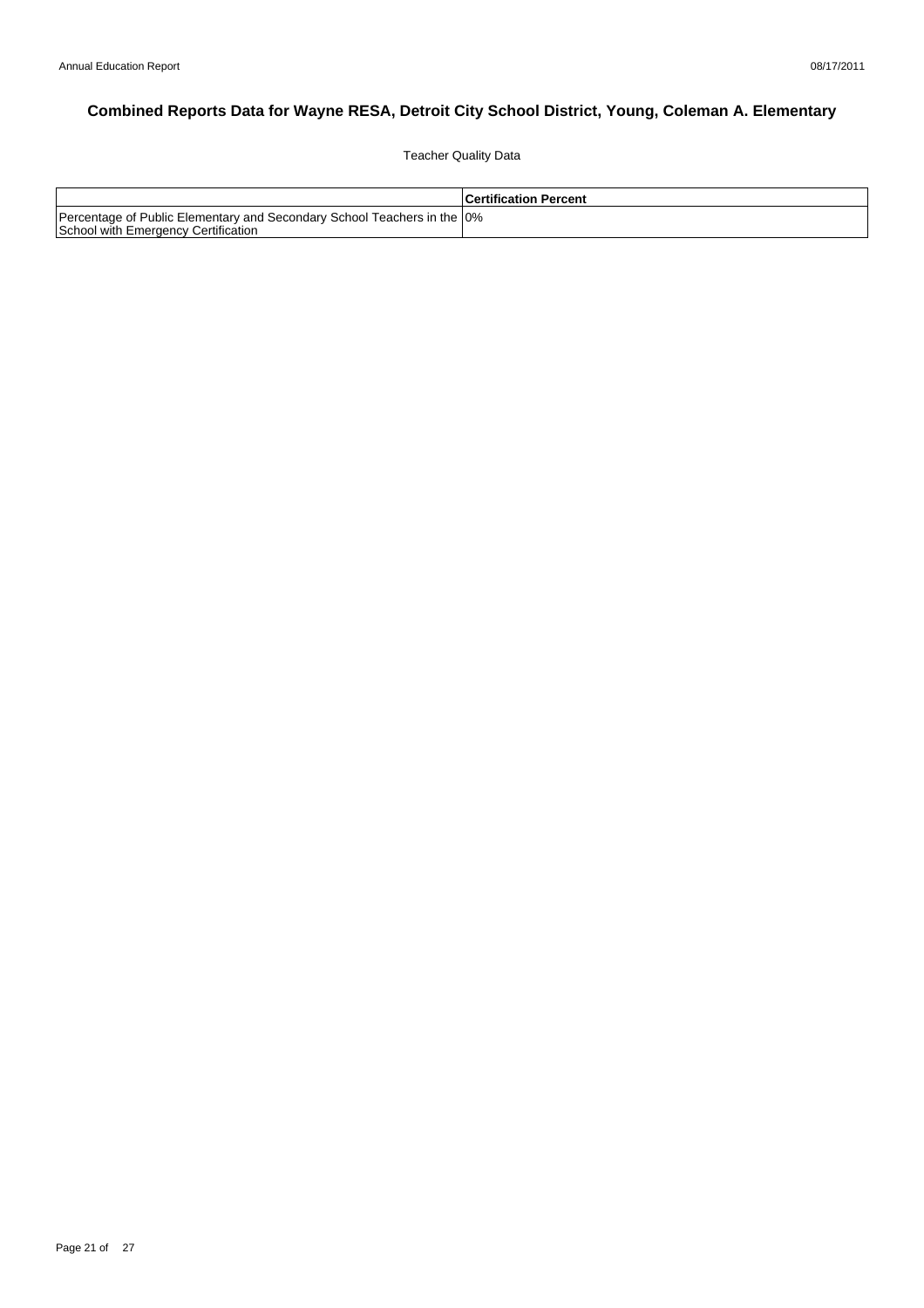Teacher Quality Data

|                                                                                                                 | <b>Certification Percent</b> |
|-----------------------------------------------------------------------------------------------------------------|------------------------------|
| Percentage of Public Elementary and Secondary School Teachers in the 10%<br>School with Emergency Certification |                              |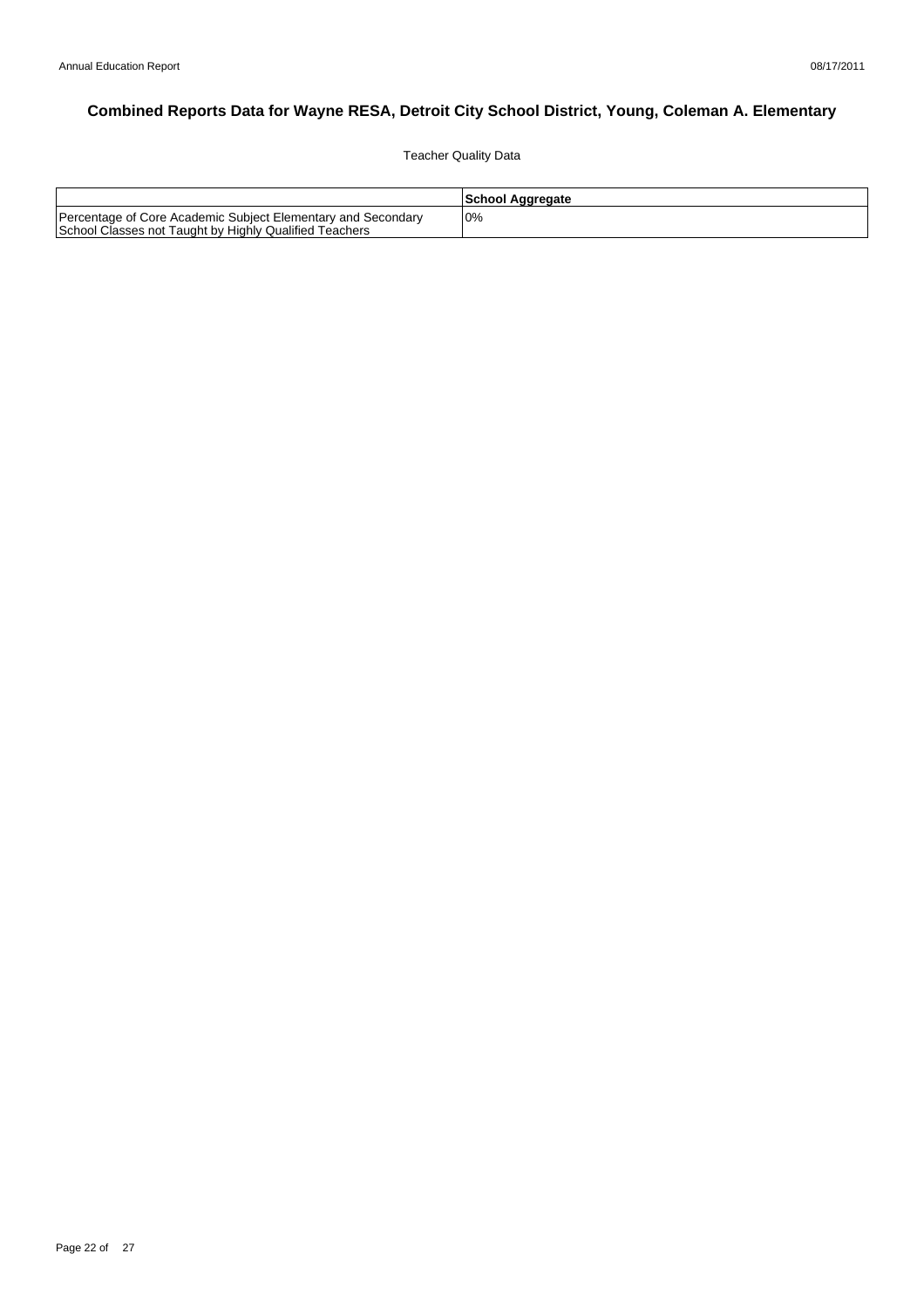Teacher Quality Data

|                                                                                                                        | School Aggregate |
|------------------------------------------------------------------------------------------------------------------------|------------------|
| Percentage of Core Academic Subject Elementary and Secondary<br>School Classes not Taught by Highly Qualified Teachers | 10%              |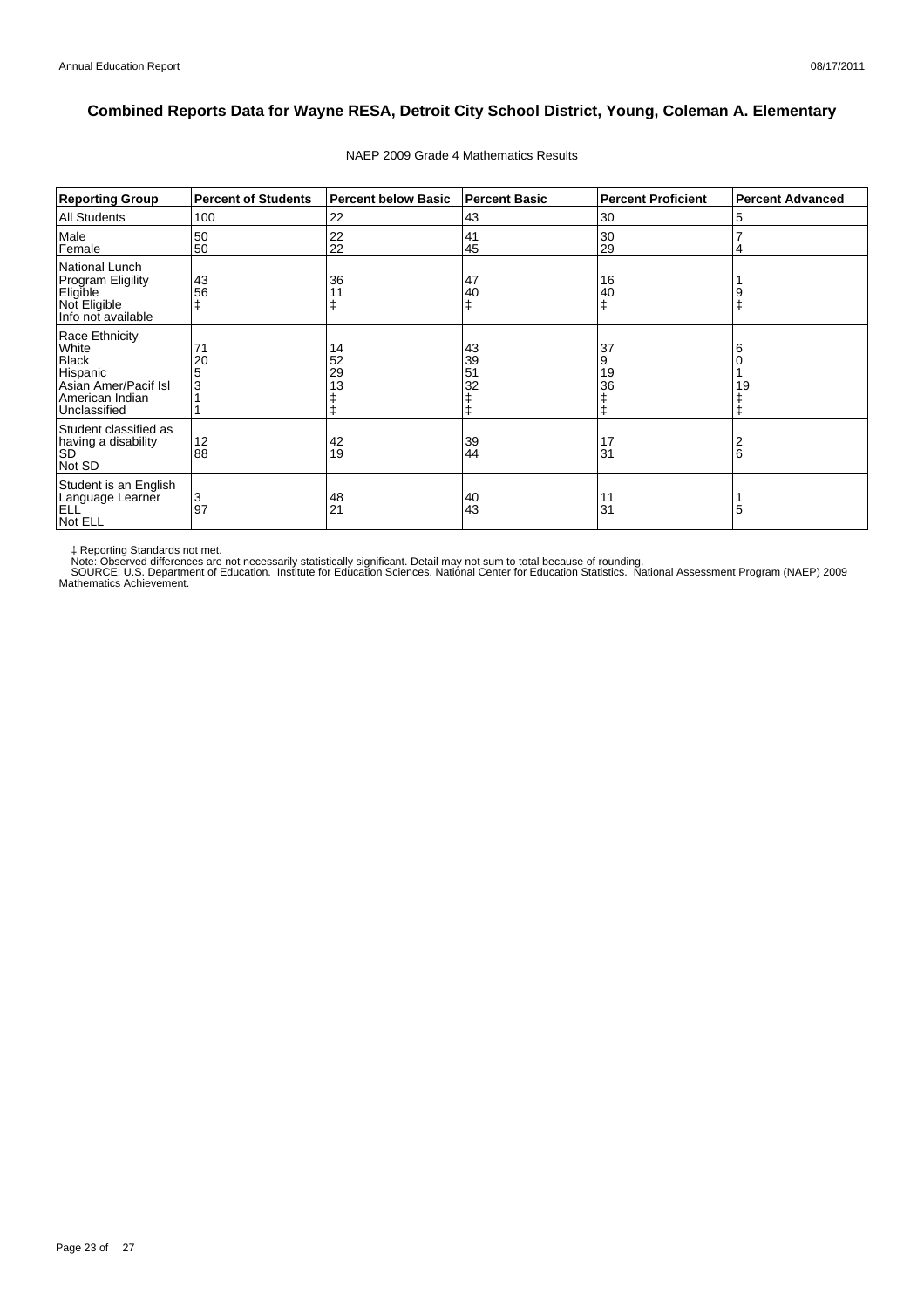| <b>Reporting Group</b>                                                                                         | <b>Percent of Students</b> | <b>Percent below Basic</b> | <b>Percent Basic</b> | <b>Percent Proficient</b> | <b>Percent Advanced</b> |
|----------------------------------------------------------------------------------------------------------------|----------------------------|----------------------------|----------------------|---------------------------|-------------------------|
| <b>All Students</b>                                                                                            | 100                        | 22                         | 43                   | 30                        | 5                       |
| Male<br>Female                                                                                                 | 50<br>50                   | 22<br>22                   | 41<br>45             | 30<br>29                  |                         |
| National Lunch<br><b>Program Eligility</b><br>Eligible<br>Not Eligible<br>Info not available                   | 43<br>56                   | 36                         | 47<br>40<br>ŧ        | 16<br>40                  |                         |
| Race Ethnicity<br>White<br><b>Black</b><br>Hispanic<br>Asian Amer/Pacif Isl<br>American Indian<br>Unclassified | 71<br>20<br>5<br>3         | 14<br>52<br>29<br>13       | 43<br>39<br>51<br>32 | 37<br>9<br>19<br>36       | 19                      |
| Student classified as<br>having a disability<br><b>SD</b><br>Not SD                                            | 12<br>88                   | 42<br>19                   | 39<br>44             | 17<br>31                  | 6                       |
| Student is an English<br>Language Learner<br><b>ELL</b><br>Not ELL                                             | 3<br>97                    | 48<br>21                   | 40<br>43             | 11<br>31                  | 5                       |

#### NAEP 2009 Grade 4 Mathematics Results

‡ Reporting Standards not met.<br>Note: Observed differences are not necessarily statistically significant. Detail may not sum to total because of rounding.<br>SOURCE: U.S. Department of Education. Institute for Education Scien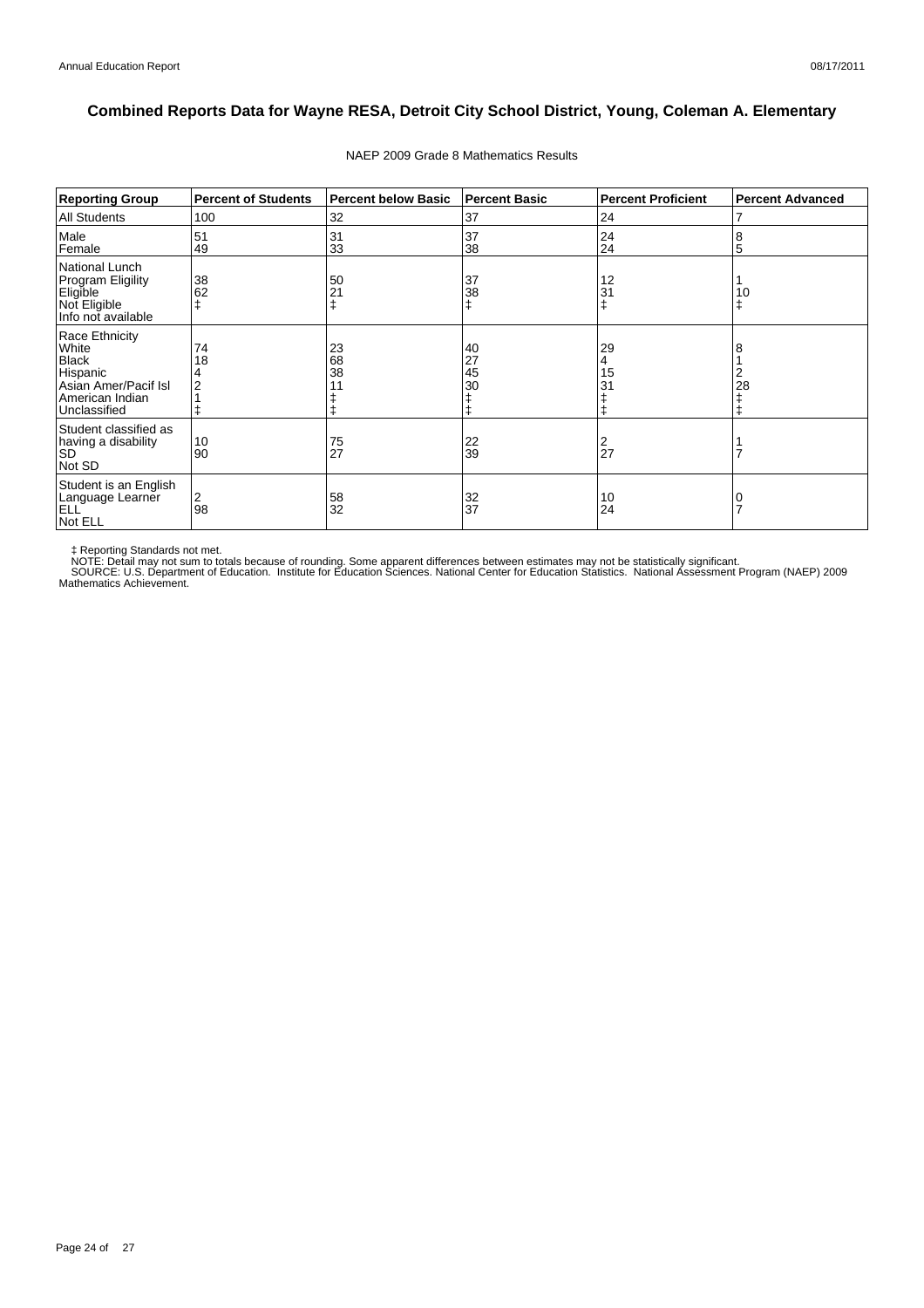| <b>Reporting Group</b>                                                                                         | <b>Percent of Students</b> | <b>Percent below Basic</b> | <b>Percent Basic</b> | <b>Percent Proficient</b> | <b>Percent Advanced</b> |
|----------------------------------------------------------------------------------------------------------------|----------------------------|----------------------------|----------------------|---------------------------|-------------------------|
| <b>All Students</b>                                                                                            | 100                        | 32                         | 37                   | 24                        |                         |
| Male<br>Female                                                                                                 | 51<br>49                   | 31<br>33                   | 37<br>38             | 24<br>24                  | 8<br>5                  |
| National Lunch<br><b>Program Eligility</b><br>Eligible<br>Not Eligible<br>Info not available                   | 38<br>62                   | 50<br>21                   | 37<br>38<br>ŧ        | 12<br>31<br>$\ddagger$    | 10                      |
| Race Ethnicity<br>White<br><b>Black</b><br>Hispanic<br>Asian Amer/Pacif Isl<br>American Indian<br>Unclassified | 74<br>18<br>2              | 23<br>68<br>38             | 40<br>27<br>45<br>30 | 29<br>4<br>15<br>31<br>ŧ  | 28                      |
| Student classified as<br>having a disability<br><b>SD</b><br>Not SD                                            | 10<br>90                   | $\frac{75}{27}$            | 22<br>39             | 2<br>$\overline{2}$       |                         |
| Student is an English<br>Language Learner<br><b>ELL</b><br>Not ELL                                             | 2<br>98                    | $\frac{58}{32}$            | 32<br>37             | 10<br>24                  |                         |

#### NAEP 2009 Grade 8 Mathematics Results

‡ Reporting Standards not met.<br>NOTE: Detail may not sum to totals because of rounding. Some apparent differences between estimates may not be statistically significant.<br>NOTE: Detail may not sum to totals because of roundin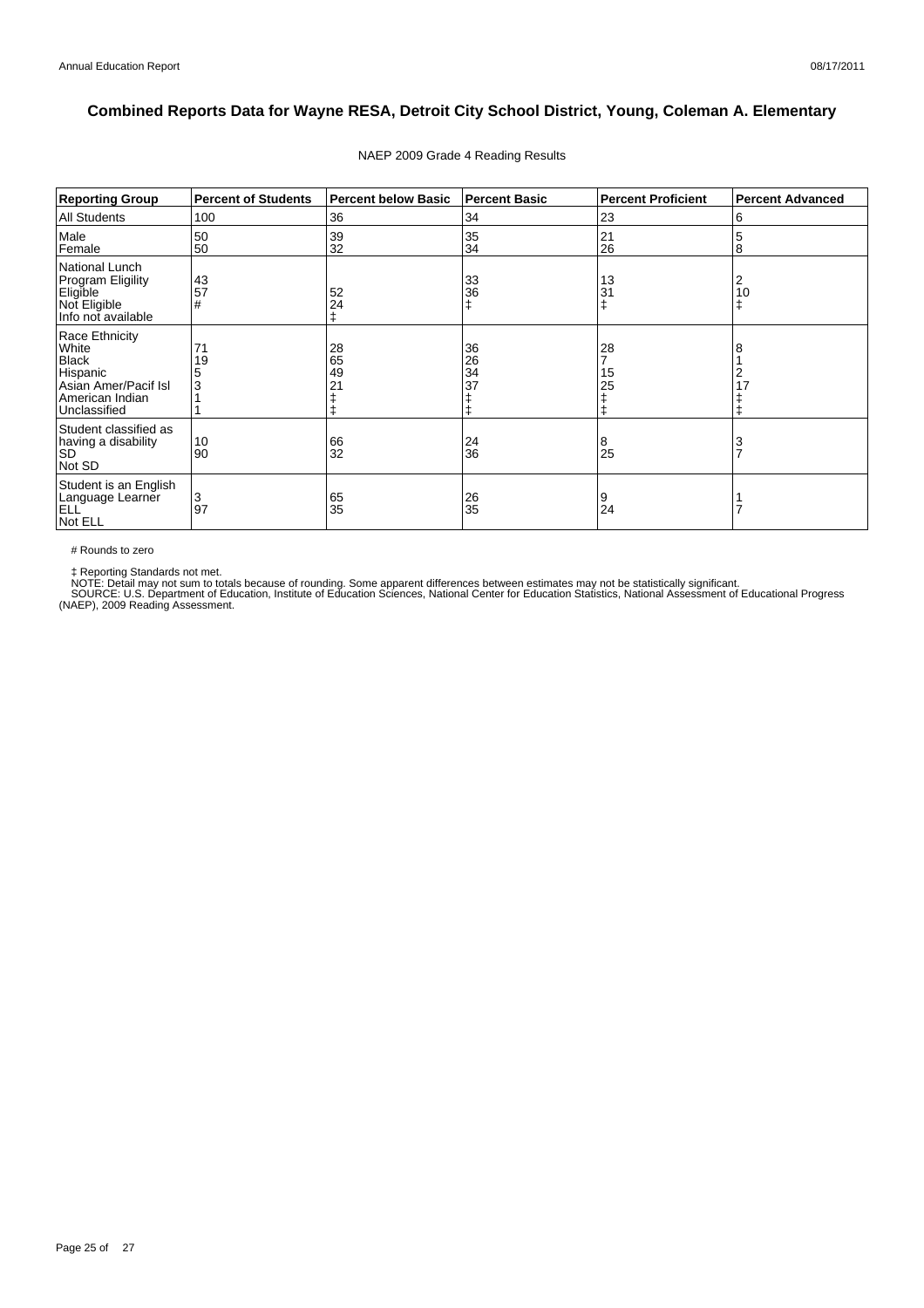| <b>Reporting Group</b>                                                                                         | <b>Percent of Students</b> | <b>Percent below Basic</b>       | <b>Percent Basic</b> | <b>Percent Proficient</b> | <b>Percent Advanced</b> |
|----------------------------------------------------------------------------------------------------------------|----------------------------|----------------------------------|----------------------|---------------------------|-------------------------|
| <b>All Students</b>                                                                                            | 100                        | 36                               | 34                   | 23                        | 6                       |
| Male<br>Female                                                                                                 | 50<br>50                   | 39<br>32                         | 35<br>34             | 21<br>26                  | 5<br>8                  |
| National Lunch<br><b>Program Eligility</b><br>Eligible<br>Not Eligible<br>Info not available                   | 43<br>57<br>#              | 52<br>24<br>ŧ                    | 33<br>36             | 13<br>31                  | 2<br>10<br>ŧ            |
| Race Ethnicity<br>White<br><b>Black</b><br>Hispanic<br>Asian Amer/Pacif Isl<br>American Indian<br>Unclassified | 71<br>19<br>3              | 28<br>65<br>49<br>2 <sub>1</sub> | 36<br>26<br>34<br>37 | 28<br>15<br>25            | 8<br>2<br>17            |
| Student classified as<br>having a disability<br><b>SD</b><br>Not SD                                            | 10<br>90                   | 66<br>32                         | 24<br>36             | 8<br>25                   | 3<br>$\overline{7}$     |
| Student is an English<br>Language Learner<br>ELL <sup>'</sup><br>Not ELL                                       | 3<br>97                    | 65<br>35                         | 26<br>35             | 9<br>24                   |                         |

#### NAEP 2009 Grade 4 Reading Results

# Rounds to zero

‡ Reporting Standards not met.<br>NOTE: Detail may not sum to totals because of rounding. Some apparent differences between estimates may not be statistically significant.<br>SOURCE: U.S. Department of Education, Institute of Ed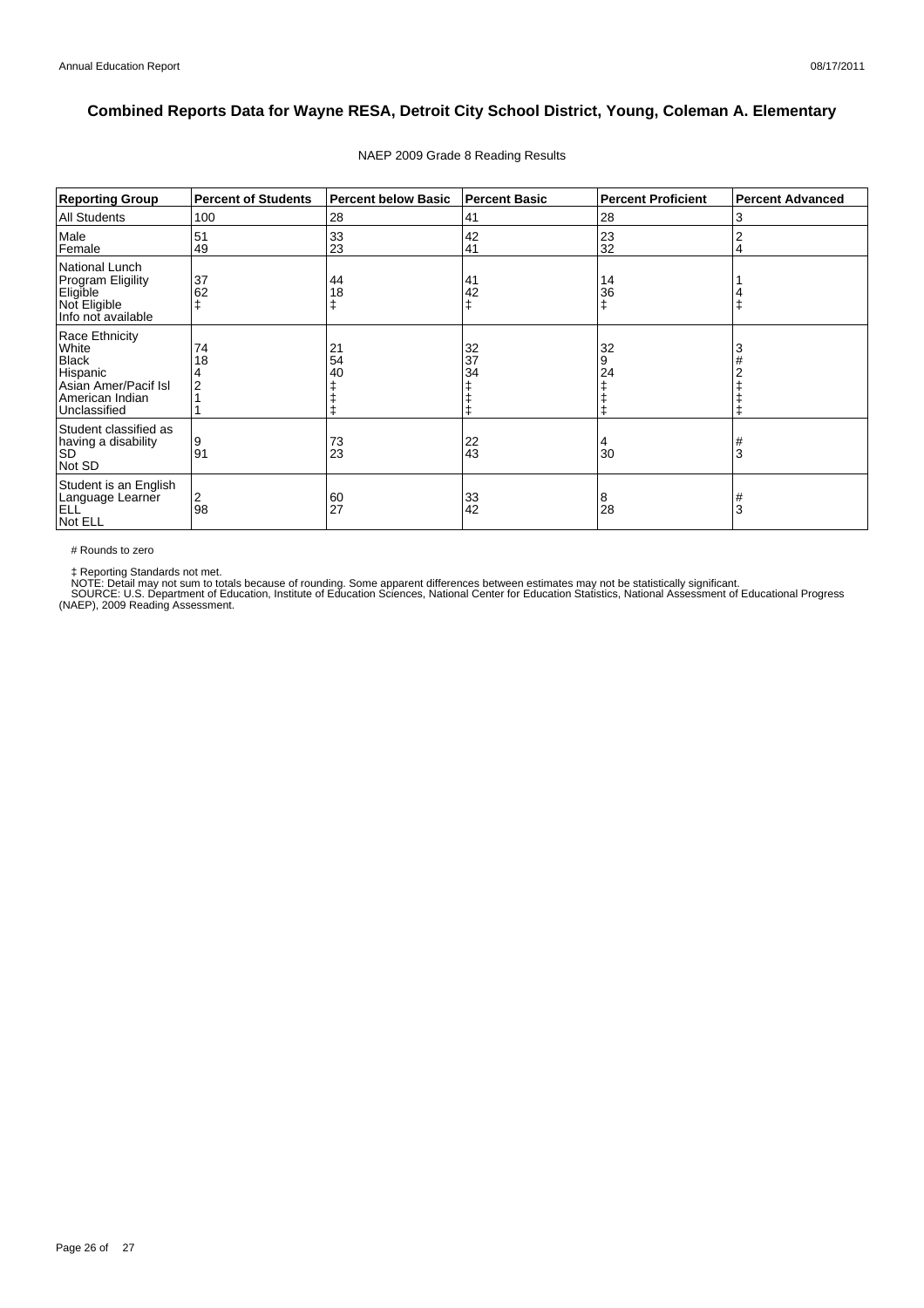| <b>Reporting Group</b>                                                                                         | <b>Percent of Students</b> | <b>Percent below Basic</b> | <b>Percent Basic</b> | <b>Percent Proficient</b> | <b>Percent Advanced</b> |
|----------------------------------------------------------------------------------------------------------------|----------------------------|----------------------------|----------------------|---------------------------|-------------------------|
| <b>All Students</b>                                                                                            | 100                        | 28                         | 41                   | 28                        | 3                       |
| Male<br>Female                                                                                                 | 51<br>49                   | 33<br>23                   | 42<br>41             | 23<br>32                  | 2<br>4                  |
| National Lunch<br><b>Program Eligility</b><br>Eligible<br>Not Eligible<br>Info not available                   | 37<br>62                   | 44<br>18                   | 41<br>42<br>ŧ        | 14<br>36                  |                         |
| Race Ethnicity<br>White<br><b>Black</b><br>Hispanic<br>Asian Amer/Pacif Isl<br>American Indian<br>Unclassified | 74<br>18                   | 21<br>54<br>40             | 32<br>37<br>34       | 32<br>9<br>24             | 3                       |
| Student classified as<br>having a disability<br><b>SD</b><br>Not SD                                            | 9<br>91                    | 73<br>23                   | 22<br>43             | 30                        | #<br>3                  |
| Student is an English<br>Language Learner<br>ELL <sup>'</sup><br>Not ELL                                       | 2<br>98                    | 60<br>27                   | 33<br>42             | 8<br>28                   | #<br>3                  |

#### NAEP 2009 Grade 8 Reading Results

# Rounds to zero

‡ Reporting Standards not met.<br>NOTE: Detail may not sum to totals because of rounding. Some apparent differences between estimates may not be statistically significant.<br>SOURCE: U.S. Department of Education, Institute of Ed

Page 26 of 27